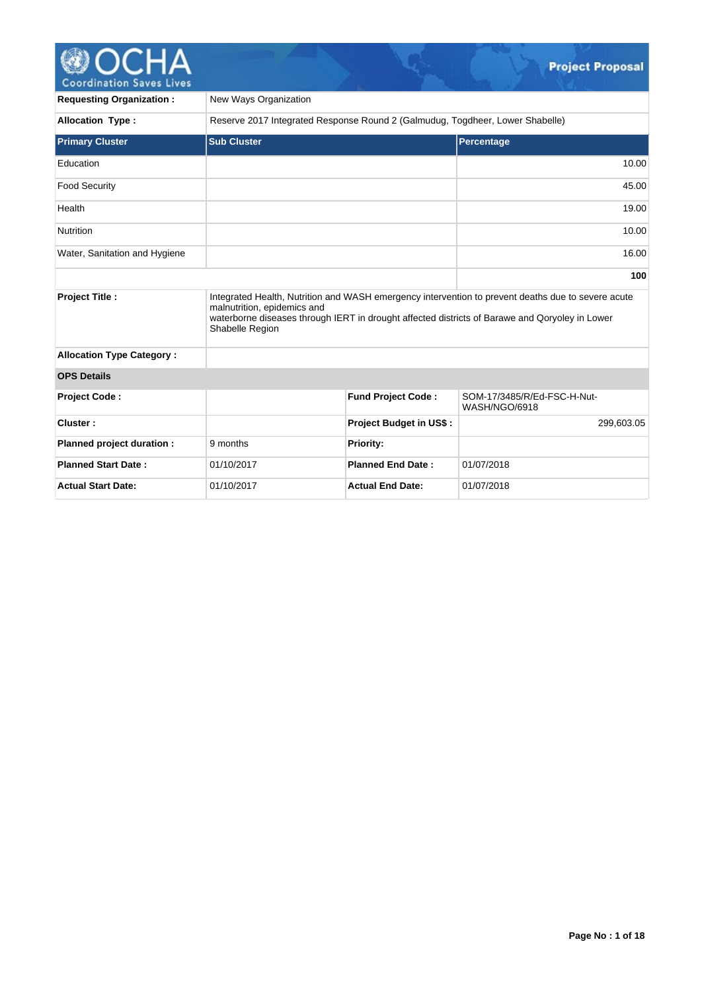# Coordination Saves Lives

V.

| <b>Requesting Organization:</b>  | New Ways Organization                                                         |                                |                                                                                                                                                                                                      |  |  |
|----------------------------------|-------------------------------------------------------------------------------|--------------------------------|------------------------------------------------------------------------------------------------------------------------------------------------------------------------------------------------------|--|--|
| <b>Allocation Type:</b>          | Reserve 2017 Integrated Response Round 2 (Galmudug, Togdheer, Lower Shabelle) |                                |                                                                                                                                                                                                      |  |  |
| <b>Primary Cluster</b>           | <b>Sub Cluster</b>                                                            |                                | Percentage                                                                                                                                                                                           |  |  |
| Education                        |                                                                               |                                | 10.00                                                                                                                                                                                                |  |  |
| <b>Food Security</b>             |                                                                               |                                | 45.00                                                                                                                                                                                                |  |  |
| Health                           |                                                                               |                                | 19.00                                                                                                                                                                                                |  |  |
| Nutrition                        |                                                                               |                                | 10.00                                                                                                                                                                                                |  |  |
| Water, Sanitation and Hygiene    |                                                                               |                                | 16.00                                                                                                                                                                                                |  |  |
|                                  |                                                                               |                                | 100                                                                                                                                                                                                  |  |  |
| <b>Project Title:</b>            | malnutrition, epidemics and<br>Shabelle Region                                |                                | Integrated Health, Nutrition and WASH emergency intervention to prevent deaths due to severe acute<br>waterborne diseases through IERT in drought affected districts of Barawe and Qoryoley in Lower |  |  |
| <b>Allocation Type Category:</b> |                                                                               |                                |                                                                                                                                                                                                      |  |  |
| <b>OPS Details</b>               |                                                                               |                                |                                                                                                                                                                                                      |  |  |
| Project Code:                    |                                                                               | <b>Fund Project Code:</b>      | SOM-17/3485/R/Ed-FSC-H-Nut-<br>WASH/NGO/6918                                                                                                                                                         |  |  |
| Cluster:                         |                                                                               | <b>Project Budget in US\$:</b> | 299,603.05                                                                                                                                                                                           |  |  |
| Planned project duration :       | 9 months                                                                      | <b>Priority:</b>               |                                                                                                                                                                                                      |  |  |
| <b>Planned Start Date:</b>       | 01/10/2017                                                                    | <b>Planned End Date:</b>       | 01/07/2018                                                                                                                                                                                           |  |  |
| <b>Actual Start Date:</b>        | 01/10/2017                                                                    | <b>Actual End Date:</b>        | 01/07/2018                                                                                                                                                                                           |  |  |

 $\mathcal{Q}_\pm$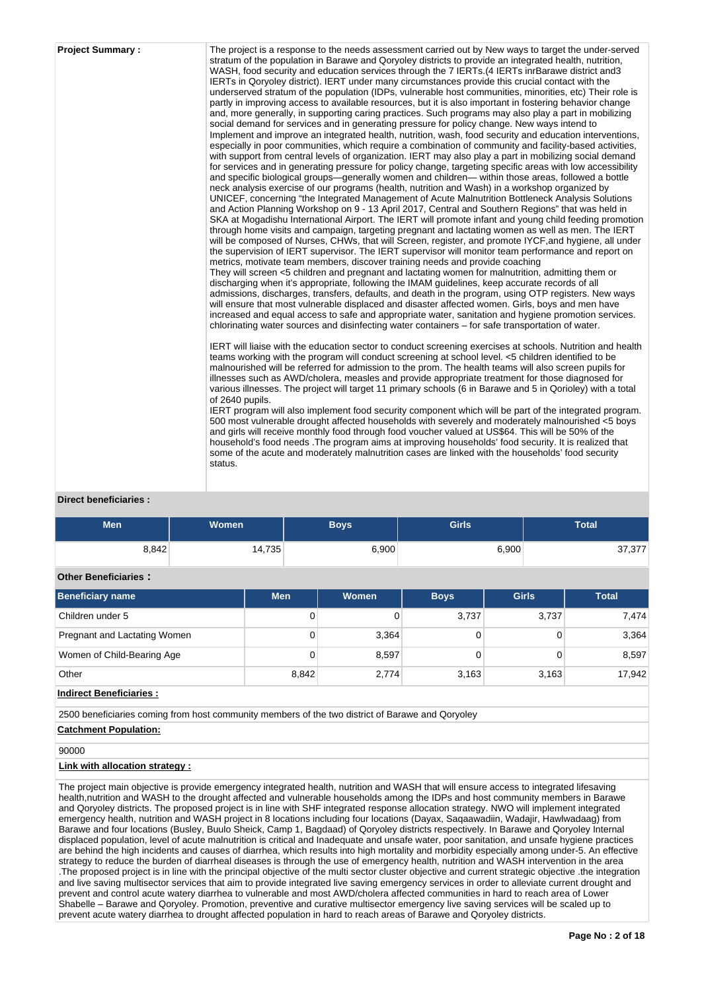| the supervision of IERT supervisor. The IERT supervisor will monitor team performance and report on<br>metrics, motivate team members, discover training needs and provide coaching<br>They will screen <5 children and pregnant and lactating women for malnutrition, admitting them or<br>discharging when it's appropriate, following the IMAM guidelines, keep accurate records of all<br>admissions, discharges, transfers, defaults, and death in the program, using OTP registers. New ways<br>will ensure that most vulnerable displaced and disaster affected women. Girls, boys and men have<br>increased and equal access to safe and appropriate water, sanitation and hygiene promotion services.<br>chlorinating water sources and disinfecting water containers – for safe transportation of water.<br>teams working with the program will conduct screening at school level. <5 children identified to be<br>malnourished will be referred for admission to the prom. The health teams will also screen pupils for<br>illnesses such as AWD/cholera, measles and provide appropriate treatment for those diagnosed for<br>various illnesses. The project will target 11 primary schools (6 in Barawe and 5 in Qorioley) with a total<br>of 2640 pupils.<br>5500 most vulnerable drought affected households with severely and moderately malnourished <5 boys<br>and girls will receive monthly food through food voucher valued at US\$64. This will be 50% of the<br>household's food needs . The program aims at improving households' food security. It is realized that<br>some of the acute and moderately malnutrition cases are linked with the households' food security<br>status. | <b>Project Summary:</b> | The project is a response to the needs assessment carried out by New ways to target the under-served<br>stratum of the population in Barawe and Qoryoley districts to provide an integrated health, nutrition,<br>WASH, food security and education services through the 7 IERTs.(4 IERTs inrBarawe district and3<br>IERTs in Qoryoley district). IERT under many circumstances provide this crucial contact with the<br>underserved stratum of the population (IDPs, vulnerable host communities, minorities, etc) Their role is<br>partly in improving access to available resources, but it is also important in fostering behavior change<br>and, more generally, in supporting caring practices. Such programs may also play a part in mobilizing<br>social demand for services and in generating pressure for policy change. New ways intend to<br>Implement and improve an integrated health, nutrition, wash, food security and education interventions,<br>especially in poor communities, which require a combination of community and facility-based activities,<br>with support from central levels of organization. IERT may also play a part in mobilizing social demand<br>for services and in generating pressure for policy change, targeting specific areas with low accessibility<br>and specific biological groups—generally women and children— within those areas, followed a bottle<br>neck analysis exercise of our programs (health, nutrition and Wash) in a workshop organized by<br>UNICEF, concerning "the Integrated Management of Acute Malnutrition Bottleneck Analysis Solutions<br>and Action Planning Workshop on 9 - 13 April 2017, Central and Southern Regions" that was held in<br>SKA at Mogadishu International Airport. The IERT will promote infant and young child feeding promotion<br>through home visits and campaign, targeting pregnant and lactating women as well as men. The IERT<br>will be composed of Nurses, CHWs, that will Screen, register, and promote IYCF, and hygiene, all under<br>IERT will liaise with the education sector to conduct screening exercises at schools. Nutrition and health<br>IERT program will also implement food security component which will be part of the integrated program. |
|--------------------------------------------------------------------------------------------------------------------------------------------------------------------------------------------------------------------------------------------------------------------------------------------------------------------------------------------------------------------------------------------------------------------------------------------------------------------------------------------------------------------------------------------------------------------------------------------------------------------------------------------------------------------------------------------------------------------------------------------------------------------------------------------------------------------------------------------------------------------------------------------------------------------------------------------------------------------------------------------------------------------------------------------------------------------------------------------------------------------------------------------------------------------------------------------------------------------------------------------------------------------------------------------------------------------------------------------------------------------------------------------------------------------------------------------------------------------------------------------------------------------------------------------------------------------------------------------------------------------------------------------------------------------------------------------------------------|-------------------------|-------------------------------------------------------------------------------------------------------------------------------------------------------------------------------------------------------------------------------------------------------------------------------------------------------------------------------------------------------------------------------------------------------------------------------------------------------------------------------------------------------------------------------------------------------------------------------------------------------------------------------------------------------------------------------------------------------------------------------------------------------------------------------------------------------------------------------------------------------------------------------------------------------------------------------------------------------------------------------------------------------------------------------------------------------------------------------------------------------------------------------------------------------------------------------------------------------------------------------------------------------------------------------------------------------------------------------------------------------------------------------------------------------------------------------------------------------------------------------------------------------------------------------------------------------------------------------------------------------------------------------------------------------------------------------------------------------------------------------------------------------------------------------------------------------------------------------------------------------------------------------------------------------------------------------------------------------------------------------------------------------------------------------------------------------------------------------------------------------------------------------------------------------------------------------------------------------------------------------------------------------------------------|
|--------------------------------------------------------------------------------------------------------------------------------------------------------------------------------------------------------------------------------------------------------------------------------------------------------------------------------------------------------------------------------------------------------------------------------------------------------------------------------------------------------------------------------------------------------------------------------------------------------------------------------------------------------------------------------------------------------------------------------------------------------------------------------------------------------------------------------------------------------------------------------------------------------------------------------------------------------------------------------------------------------------------------------------------------------------------------------------------------------------------------------------------------------------------------------------------------------------------------------------------------------------------------------------------------------------------------------------------------------------------------------------------------------------------------------------------------------------------------------------------------------------------------------------------------------------------------------------------------------------------------------------------------------------------------------------------------------------|-------------------------|-------------------------------------------------------------------------------------------------------------------------------------------------------------------------------------------------------------------------------------------------------------------------------------------------------------------------------------------------------------------------------------------------------------------------------------------------------------------------------------------------------------------------------------------------------------------------------------------------------------------------------------------------------------------------------------------------------------------------------------------------------------------------------------------------------------------------------------------------------------------------------------------------------------------------------------------------------------------------------------------------------------------------------------------------------------------------------------------------------------------------------------------------------------------------------------------------------------------------------------------------------------------------------------------------------------------------------------------------------------------------------------------------------------------------------------------------------------------------------------------------------------------------------------------------------------------------------------------------------------------------------------------------------------------------------------------------------------------------------------------------------------------------------------------------------------------------------------------------------------------------------------------------------------------------------------------------------------------------------------------------------------------------------------------------------------------------------------------------------------------------------------------------------------------------------------------------------------------------------------------------------------------------|

# **Direct beneficiaries :**

| <b>Men</b> | <b>Women</b> | <b>Boys</b> | <b>Girls</b> | <b>Total</b> |
|------------|--------------|-------------|--------------|--------------|
| 8,842      | 14,735       | 6,900       | 6,900        | 37,377       |

# **Other Beneficiaries :**

| <b>Beneficiary name</b>      | <b>Men</b> | Women | <b>Boys</b> | <b>Girls</b> | <b>Total</b> |
|------------------------------|------------|-------|-------------|--------------|--------------|
| Children under 5             | 0          |       | 3,737       | 3,737        | 7.474        |
| Pregnant and Lactating Women | 0          | 3,364 |             |              | 3,364        |
| Women of Child-Bearing Age   | 0          | 8,597 |             |              | 8,597        |
| Other                        | 8.842      | 2,774 | 3,163       | 3,163        | 17,942       |

#### **Indirect Beneficiaries :**

2500 beneficiaries coming from host community members of the two district of Barawe and Qoryoley

# **Catchment Population:**

# 90000

# **Link with allocation strategy :**

The project main objective is provide emergency integrated health, nutrition and WASH that will ensure access to integrated lifesaving health,nutrition and WASH to the drought affected and vulnerable households among the IDPs and host community members in Barawe and Qoryoley districts. The proposed project is in line with SHF integrated response allocation strategy. NWO will implement integrated emergency health, nutrition and WASH project in 8 locations including four locations (Dayax, Saqaawadiin, Wadajir, Hawlwadaag) from Barawe and four locations (Busley, Buulo Sheick, Camp 1, Bagdaad) of Qoryoley districts respectively. In Barawe and Qoryoley Internal displaced population, level of acute malnutrition is critical and Inadequate and unsafe water, poor sanitation, and unsafe hygiene practices are behind the high incidents and causes of diarrhea, which results into high mortality and morbidity especially among under-5. An effective strategy to reduce the burden of diarrheal diseases is through the use of emergency health, nutrition and WASH intervention in the area .The proposed project is in line with the principal objective of the multi sector cluster objective and current strategic objective .the integration and live saving multisector services that aim to provide integrated live saving emergency services in order to alleviate current drought and prevent and control acute watery diarrhea to vulnerable and most AWD/cholera affected communities in hard to reach area of Lower Shabelle – Barawe and Qoryoley. Promotion, preventive and curative multisector emergency live saving services will be scaled up to prevent acute watery diarrhea to drought affected population in hard to reach areas of Barawe and Qoryoley districts.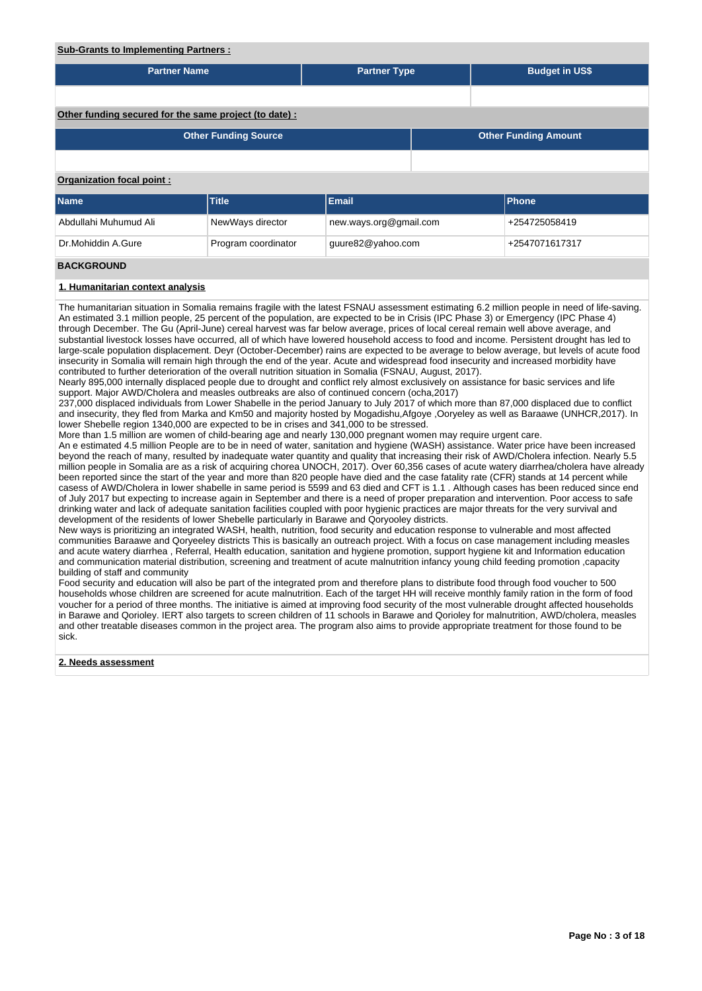#### **Sub-Grants to Implementing Partners :**

| <b>Partner Name</b>                                   |                             | <b>Partner Type</b>    |  | <b>Budget in US\$</b>       |  |
|-------------------------------------------------------|-----------------------------|------------------------|--|-----------------------------|--|
|                                                       |                             |                        |  |                             |  |
|                                                       |                             |                        |  |                             |  |
| Other funding secured for the same project (to date): |                             |                        |  |                             |  |
|                                                       | <b>Other Funding Source</b> |                        |  | <b>Other Funding Amount</b> |  |
|                                                       |                             |                        |  |                             |  |
| Organization focal point:                             |                             |                        |  |                             |  |
| <b>Name</b>                                           | Title                       | Email                  |  | Phone                       |  |
| Abdullahi Muhumud Ali                                 | NewWays director            | new.ways.org@gmail.com |  | +254725058419               |  |
| Dr.Mohiddin A.Gure                                    | Program coordinator         | guure82@yahoo.com      |  | +2547071617317              |  |
| <b>BACKGROUND</b>                                     |                             |                        |  |                             |  |

#### **1. Humanitarian context analysis**

The humanitarian situation in Somalia remains fragile with the latest FSNAU assessment estimating 6.2 million people in need of life-saving. An estimated 3.1 million people, 25 percent of the population, are expected to be in Crisis (IPC Phase 3) or Emergency (IPC Phase 4) through December. The Gu (April-June) cereal harvest was far below average, prices of local cereal remain well above average, and substantial livestock losses have occurred, all of which have lowered household access to food and income. Persistent drought has led to large-scale population displacement. Deyr (October-December) rains are expected to be average to below average, but levels of acute food insecurity in Somalia will remain high through the end of the year. Acute and widespread food insecurity and increased morbidity have contributed to further deterioration of the overall nutrition situation in Somalia (FSNAU, August, 2017).

Nearly 895,000 internally displaced people due to drought and conflict rely almost exclusively on assistance for basic services and life support. Major AWD/Cholera and measles outbreaks are also of continued concern (ocha,2017)

237,000 displaced individuals from Lower Shabelle in the period January to July 2017 of which more than 87,000 displaced due to conflict and insecurity, they fled from Marka and Km50 and majority hosted by Mogadishu,Afgoye ,Ooryeley as well as Baraawe (UNHCR,2017). In lower Shebelle region 1340,000 are expected to be in crises and 341,000 to be stressed.

More than 1.5 million are women of child-bearing age and nearly 130,000 pregnant women may require urgent care.

An e estimated 4.5 million People are to be in need of water, sanitation and hygiene (WASH) assistance. Water price have been increased beyond the reach of many, resulted by inadequate water quantity and quality that increasing their risk of AWD/Cholera infection. Nearly 5.5 million people in Somalia are as a risk of acquiring chorea UNOCH, 2017). Over 60,356 cases of acute watery diarrhea/cholera have already been reported since the start of the year and more than 820 people have died and the case fatality rate (CFR) stands at 14 percent while casess of AWD/Cholera in lower shabelle in same period is 5599 and 63 died and CFT is 1.1 . Although cases has been reduced since end of July 2017 but expecting to increase again in September and there is a need of proper preparation and intervention. Poor access to safe drinking water and lack of adequate sanitation facilities coupled with poor hygienic practices are major threats for the very survival and development of the residents of lower Shebelle particularly in Barawe and Qoryooley districts.

New ways is prioritizing an integrated WASH, health, nutrition, food security and education response to vulnerable and most affected communities Baraawe and Qoryeeley districts This is basically an outreach project. With a focus on case management including measles and acute watery diarrhea , Referral, Health education, sanitation and hygiene promotion, support hygiene kit and Information education and communication material distribution, screening and treatment of acute malnutrition infancy young child feeding promotion ,capacity building of staff and community

Food security and education will also be part of the integrated prom and therefore plans to distribute food through food voucher to 500 households whose children are screened for acute malnutrition. Each of the target HH will receive monthly family ration in the form of food voucher for a period of three months. The initiative is aimed at improving food security of the most vulnerable drought affected households in Barawe and Qorioley. IERT also targets to screen children of 11 schools in Barawe and Qorioley for malnutrition, AWD/cholera, measles and other treatable diseases common in the project area. The program also aims to provide appropriate treatment for those found to be sick.

#### **2. Needs assessment**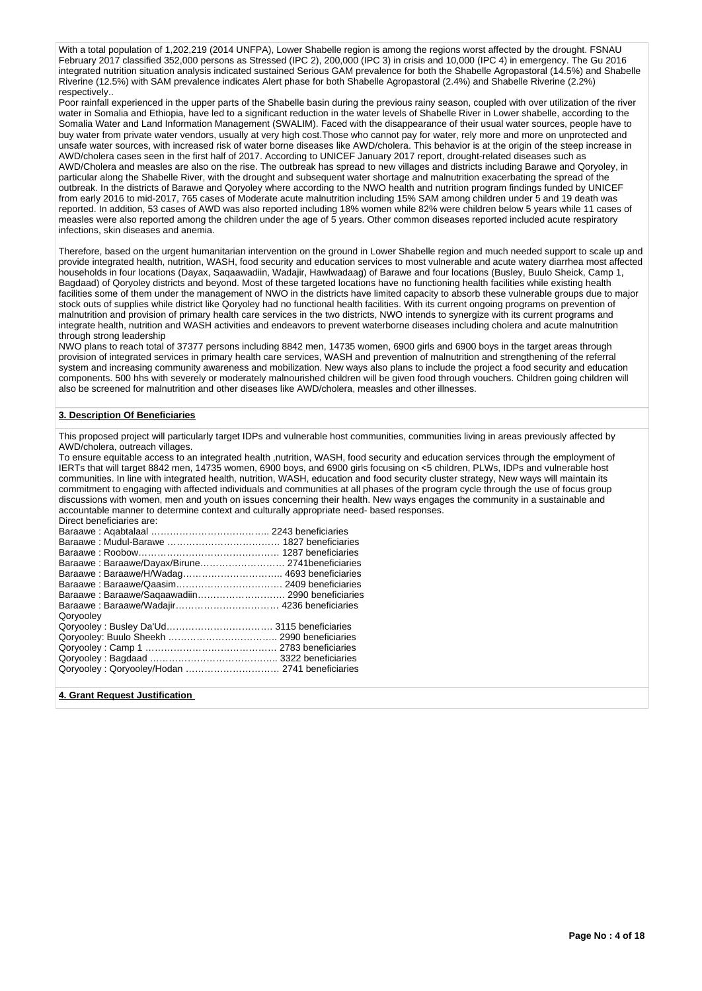With a total population of 1,202,219 (2014 UNFPA), Lower Shabelle region is among the regions worst affected by the drought. FSNAU February 2017 classified 352,000 persons as Stressed (IPC 2), 200,000 (IPC 3) in crisis and 10,000 (IPC 4) in emergency. The Gu 2016 integrated nutrition situation analysis indicated sustained Serious GAM prevalence for both the Shabelle Agropastoral (14.5%) and Shabelle Riverine (12.5%) with SAM prevalence indicates Alert phase for both Shabelle Agropastoral (2.4%) and Shabelle Riverine (2.2%) respectively..

Poor rainfall experienced in the upper parts of the Shabelle basin during the previous rainy season, coupled with over utilization of the river water in Somalia and Ethiopia, have led to a significant reduction in the water levels of Shabelle River in Lower shabelle, according to the Somalia Water and Land Information Management (SWALIM). Faced with the disappearance of their usual water sources, people have to buy water from private water vendors, usually at very high cost.Those who cannot pay for water, rely more and more on unprotected and unsafe water sources, with increased risk of water borne diseases like AWD/cholera. This behavior is at the origin of the steep increase in AWD/cholera cases seen in the first half of 2017. According to UNICEF January 2017 report, drought-related diseases such as AWD/Cholera and measles are also on the rise. The outbreak has spread to new villages and districts including Barawe and Qoryoley, in particular along the Shabelle River, with the drought and subsequent water shortage and malnutrition exacerbating the spread of the outbreak. In the districts of Barawe and Qoryoley where according to the NWO health and nutrition program findings funded by UNICEF from early 2016 to mid-2017, 765 cases of Moderate acute malnutrition including 15% SAM among children under 5 and 19 death was reported. In addition, 53 cases of AWD was also reported including 18% women while 82% were children below 5 years while 11 cases of measles were also reported among the children under the age of 5 years. Other common diseases reported included acute respiratory infections, skin diseases and anemia.

Therefore, based on the urgent humanitarian intervention on the ground in Lower Shabelle region and much needed support to scale up and provide integrated health, nutrition, WASH, food security and education services to most vulnerable and acute watery diarrhea most affected households in four locations (Dayax, Saqaawadiin, Wadajir, Hawlwadaag) of Barawe and four locations (Busley, Buulo Sheick, Camp 1, Bagdaad) of Qoryoley districts and beyond. Most of these targeted locations have no functioning health facilities while existing health facilities some of them under the management of NWO in the districts have limited capacity to absorb these vulnerable groups due to major stock outs of supplies while district like Qoryoley had no functional health facilities. With its current ongoing programs on prevention of malnutrition and provision of primary health care services in the two districts, NWO intends to synergize with its current programs and integrate health, nutrition and WASH activities and endeavors to prevent waterborne diseases including cholera and acute malnutrition through strong leadership

NWO plans to reach total of 37377 persons including 8842 men, 14735 women, 6900 girls and 6900 boys in the target areas through provision of integrated services in primary health care services, WASH and prevention of malnutrition and strengthening of the referral system and increasing community awareness and mobilization. New ways also plans to include the project a food security and education components. 500 hhs with severely or moderately malnourished children will be given food through vouchers. Children going children will also be screened for malnutrition and other diseases like AWD/cholera, measles and other illnesses.

#### **3. Description Of Beneficiaries**

This proposed project will particularly target IDPs and vulnerable host communities, communities living in areas previously affected by AWD/cholera, outreach villages.

To ensure equitable access to an integrated health ,nutrition, WASH, food security and education services through the employment of IERTs that will target 8842 men, 14735 women, 6900 boys, and 6900 girls focusing on <5 children, PLWs, IDPs and vulnerable host communities. In line with integrated health, nutrition, WASH, education and food security cluster strategy, New ways will maintain its commitment to engaging with affected individuals and communities at all phases of the program cycle through the use of focus group discussions with women, men and youth on issues concerning their health. New ways engages the community in a sustainable and accountable manner to determine context and culturally appropriate need- based responses. Direct beneficiaries are:

| Baraawe: Baraawe/Dayax/Birune 2741beneficiaries |  |
|-------------------------------------------------|--|
|                                                 |  |
|                                                 |  |
| Baraawe: Baraawe/Saqaawadiin 2990 beneficiaries |  |
|                                                 |  |
| Qoryooley                                       |  |
|                                                 |  |
|                                                 |  |
|                                                 |  |
|                                                 |  |
|                                                 |  |
|                                                 |  |

**4. Grant Request Justification**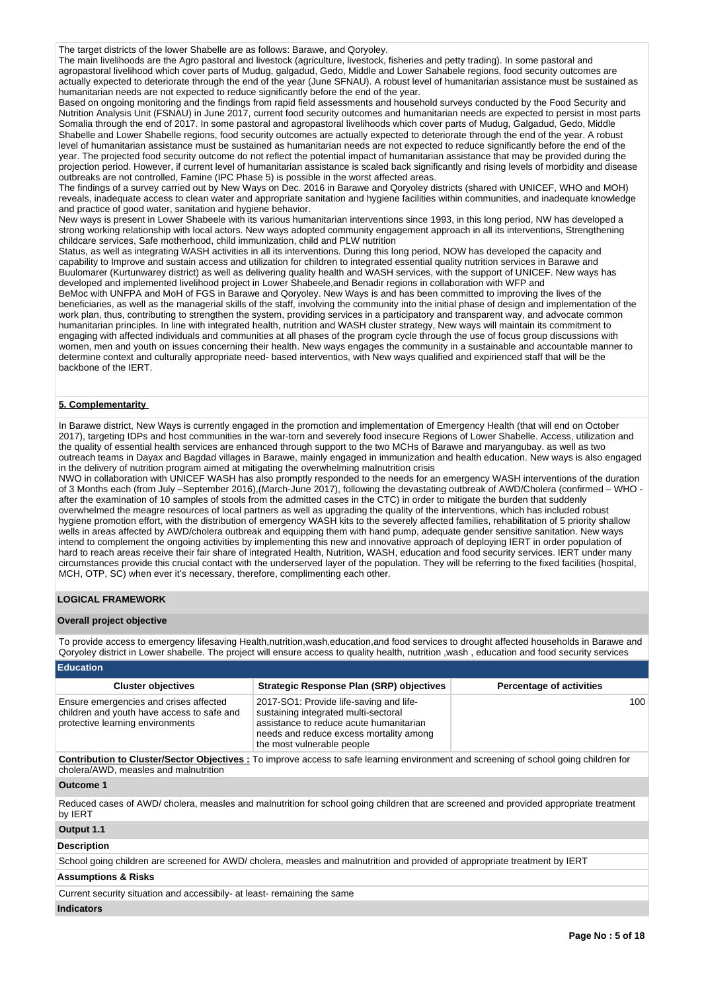The target districts of the lower Shabelle are as follows: Barawe, and Qoryoley.

The main livelihoods are the Agro pastoral and livestock (agriculture, livestock, fisheries and petty trading). In some pastoral and agropastoral livelihood which cover parts of Mudug, galgadud, Gedo, Middle and Lower Sahabele regions, food security outcomes are actually expected to deteriorate through the end of the year (June SFNAU). A robust level of humanitarian assistance must be sustained as humanitarian needs are not expected to reduce significantly before the end of the year.

Based on ongoing monitoring and the findings from rapid field assessments and household surveys conducted by the Food Security and Nutrition Analysis Unit (FSNAU) in June 2017, current food security outcomes and humanitarian needs are expected to persist in most parts Somalia through the end of 2017. In some pastoral and agropastoral livelihoods which cover parts of Mudug, Galgadud, Gedo, Middle Shabelle and Lower Shabelle regions, food security outcomes are actually expected to deteriorate through the end of the year. A robust level of humanitarian assistance must be sustained as humanitarian needs are not expected to reduce significantly before the end of the year. The projected food security outcome do not reflect the potential impact of humanitarian assistance that may be provided during the projection period. However, if current level of humanitarian assistance is scaled back significantly and rising levels of morbidity and disease outbreaks are not controlled, Famine (IPC Phase 5) is possible in the worst affected areas.

The findings of a survey carried out by New Ways on Dec. 2016 in Barawe and Qoryoley districts (shared with UNICEF, WHO and MOH) reveals, inadequate access to clean water and appropriate sanitation and hygiene facilities within communities, and inadequate knowledge and practice of good water, sanitation and hygiene behavior.

New ways is present in Lower Shabeele with its various humanitarian interventions since 1993, in this long period, NW has developed a strong working relationship with local actors. New ways adopted community engagement approach in all its interventions, Strengthening childcare services, Safe motherhood, child immunization, child and PLW nutrition

Status, as well as integrating WASH activities in all its interventions. During this long period, NOW has developed the capacity and capability to Improve and sustain access and utilization for children to integrated essential quality nutrition services in Barawe and Buulomarer (Kurtunwarey district) as well as delivering quality health and WASH services, with the support of UNICEF. New ways has developed and implemented livelihood project in Lower Shabeele,and Benadir regions in collaboration with WFP and

BeMoc with UNFPA and MoH of FGS in Barawe and Qoryoley. New Ways is and has been committed to improving the lives of the beneficiaries, as well as the managerial skills of the staff, involving the community into the initial phase of design and implementation of the work plan, thus, contributing to strengthen the system, providing services in a participatory and transparent way, and advocate common humanitarian principles. In line with integrated health, nutrition and WASH cluster strategy, New ways will maintain its commitment to engaging with affected individuals and communities at all phases of the program cycle through the use of focus group discussions with women, men and youth on issues concerning their health. New ways engages the community in a sustainable and accountable manner to determine context and culturally appropriate need- based interventios, with New ways qualified and expirienced staff that will be the backbone of the IERT.

### **5. Complementarity**

In Barawe district, New Ways is currently engaged in the promotion and implementation of Emergency Health (that will end on October 2017), targeting IDPs and host communities in the war-torn and severely food insecure Regions of Lower Shabelle. Access, utilization and the quality of essential health services are enhanced through support to the two MCHs of Barawe and maryangubay. as well as two outreach teams in Dayax and Bagdad villages in Barawe, mainly engaged in immunization and health education. New ways is also engaged in the delivery of nutrition program aimed at mitigating the overwhelming malnutrition crisis

NWO in collaboration with UNICEF WASH has also promptly responded to the needs for an emergency WASH interventions of the duration of 3 Months each (from July –September 2016),(March-June 2017), following the devastating outbreak of AWD/Cholera (confirmed – WHO after the examination of 10 samples of stools from the admitted cases in the CTC) in order to mitigate the burden that suddenly overwhelmed the meagre resources of local partners as well as upgrading the quality of the interventions, which has included robust hygiene promotion effort, with the distribution of emergency WASH kits to the severely affected families, rehabilitation of 5 priority shallow wells in areas affected by AWD/cholera outbreak and equipping them with hand pump, adequate gender sensitive sanitation. New ways intend to complement the ongoing activities by implementing this new and innovative approach of deploying IERT in order population of hard to reach areas receive their fair share of integrated Health, Nutrition, WASH, education and food security services. IERT under many circumstances provide this crucial contact with the underserved layer of the population. They will be referring to the fixed facilities (hospital, MCH, OTP, SC) when ever it's necessary, therefore, complimenting each other.

#### **LOGICAL FRAMEWORK**

#### **Overall project objective**

To provide access to emergency lifesaving Health,nutrition,wash,education,and food services to drought affected households in Barawe and Qoryoley district in Lower shabelle. The project will ensure access to quality health, nutrition ,wash , education and food security services

#### **Education**

| <b>Cluster objectives</b>                                                                                                | <b>Strategic Response Plan (SRP) objectives</b>                                                                                                                                                     | <b>Percentage of activities</b> |
|--------------------------------------------------------------------------------------------------------------------------|-----------------------------------------------------------------------------------------------------------------------------------------------------------------------------------------------------|---------------------------------|
| Ensure emergencies and crises affected<br>children and youth have access to safe and<br>protective learning environments | 2017-SO1: Provide life-saving and life-<br>sustaining integrated multi-sectoral<br>assistance to reduce acute humanitarian<br>needs and reduce excess mortality among<br>the most vulnerable people | 100                             |

**Contribution to Cluster/Sector Objectives :** To improve access to safe learning environment and screening of school going children for cholera/AWD, measles and malnutrition

#### **Outcome 1**

Reduced cases of AWD/ cholera, measles and malnutrition for school going children that are screened and provided appropriate treatment by IERT

# **Output 1.1**

#### **Description**

School going children are screened for AWD/ cholera, measles and malnutrition and provided of appropriate treatment by IERT

#### **Assumptions & Risks**

Current security situation and accessibily- at least- remaining the same

#### **Indicators**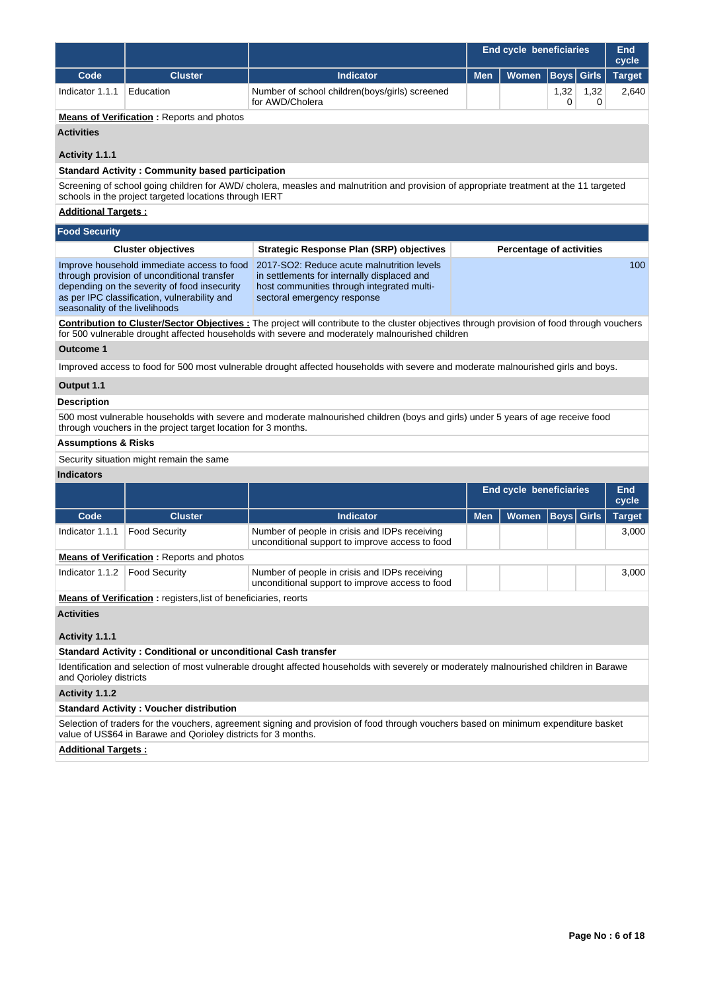|                                                                                                                                                                                                                                                       |                                                                                                                                                                                           |                                                                                                                                                                        | <b>End cycle beneficiaries</b> |                                 |                   | <b>End</b><br>cycle |                     |  |
|-------------------------------------------------------------------------------------------------------------------------------------------------------------------------------------------------------------------------------------------------------|-------------------------------------------------------------------------------------------------------------------------------------------------------------------------------------------|------------------------------------------------------------------------------------------------------------------------------------------------------------------------|--------------------------------|---------------------------------|-------------------|---------------------|---------------------|--|
| Code                                                                                                                                                                                                                                                  | <b>Cluster</b>                                                                                                                                                                            | <b>Indicator</b>                                                                                                                                                       | <b>Men</b>                     | <b>Women</b>                    | <b>Boys</b>       | <b>Girls</b>        | <b>Target</b>       |  |
| Indicator 1.1.1                                                                                                                                                                                                                                       | Education                                                                                                                                                                                 | Number of school children(boys/girls) screened<br>for AWD/Cholera                                                                                                      |                                |                                 | 1,32<br>0         | 1,32<br>0           | 2,640               |  |
|                                                                                                                                                                                                                                                       | <b>Means of Verification:</b> Reports and photos                                                                                                                                          |                                                                                                                                                                        |                                |                                 |                   |                     |                     |  |
| <b>Activities</b>                                                                                                                                                                                                                                     |                                                                                                                                                                                           |                                                                                                                                                                        |                                |                                 |                   |                     |                     |  |
| Activity 1.1.1                                                                                                                                                                                                                                        |                                                                                                                                                                                           |                                                                                                                                                                        |                                |                                 |                   |                     |                     |  |
|                                                                                                                                                                                                                                                       | <b>Standard Activity: Community based participation</b>                                                                                                                                   |                                                                                                                                                                        |                                |                                 |                   |                     |                     |  |
|                                                                                                                                                                                                                                                       | schools in the project targeted locations through IERT                                                                                                                                    | Screening of school going children for AWD/ cholera, measles and malnutrition and provision of appropriate treatment at the 11 targeted                                |                                |                                 |                   |                     |                     |  |
| <b>Additional Targets:</b>                                                                                                                                                                                                                            |                                                                                                                                                                                           |                                                                                                                                                                        |                                |                                 |                   |                     |                     |  |
| <b>Food Security</b>                                                                                                                                                                                                                                  |                                                                                                                                                                                           |                                                                                                                                                                        |                                |                                 |                   |                     |                     |  |
|                                                                                                                                                                                                                                                       | <b>Cluster objectives</b>                                                                                                                                                                 | <b>Strategic Response Plan (SRP) objectives</b>                                                                                                                        |                                | <b>Percentage of activities</b> |                   |                     |                     |  |
| seasonality of the livelihoods                                                                                                                                                                                                                        | Improve household immediate access to food<br>through provision of unconditional transfer<br>depending on the severity of food insecurity<br>as per IPC classification, vulnerability and | 2017-SO2: Reduce acute malnutrition levels<br>in settlements for internally displaced and<br>host communities through integrated multi-<br>sectoral emergency response |                                |                                 |                   |                     | 100                 |  |
| <b>Contribution to Cluster/Sector Objectives:</b> The project will contribute to the cluster objectives through provision of food through vouchers<br>for 500 vulnerable drought affected households with severe and moderately malnourished children |                                                                                                                                                                                           |                                                                                                                                                                        |                                |                                 |                   |                     |                     |  |
| Outcome 1                                                                                                                                                                                                                                             |                                                                                                                                                                                           |                                                                                                                                                                        |                                |                                 |                   |                     |                     |  |
|                                                                                                                                                                                                                                                       |                                                                                                                                                                                           | Improved access to food for 500 most vulnerable drought affected households with severe and moderate malnourished girls and boys.                                      |                                |                                 |                   |                     |                     |  |
| Output 1.1                                                                                                                                                                                                                                            |                                                                                                                                                                                           |                                                                                                                                                                        |                                |                                 |                   |                     |                     |  |
| <b>Description</b>                                                                                                                                                                                                                                    |                                                                                                                                                                                           |                                                                                                                                                                        |                                |                                 |                   |                     |                     |  |
|                                                                                                                                                                                                                                                       | through vouchers in the project target location for 3 months.                                                                                                                             | 500 most vulnerable households with severe and moderate malnourished children (boys and girls) under 5 years of age receive food                                       |                                |                                 |                   |                     |                     |  |
| <b>Assumptions &amp; Risks</b>                                                                                                                                                                                                                        |                                                                                                                                                                                           |                                                                                                                                                                        |                                |                                 |                   |                     |                     |  |
|                                                                                                                                                                                                                                                       | Security situation might remain the same                                                                                                                                                  |                                                                                                                                                                        |                                |                                 |                   |                     |                     |  |
| <b>Indicators</b>                                                                                                                                                                                                                                     |                                                                                                                                                                                           |                                                                                                                                                                        |                                |                                 |                   |                     |                     |  |
|                                                                                                                                                                                                                                                       |                                                                                                                                                                                           |                                                                                                                                                                        |                                | <b>End cycle beneficiaries</b>  |                   |                     | <b>End</b><br>cycle |  |
| Code                                                                                                                                                                                                                                                  | <b>Cluster</b>                                                                                                                                                                            | <b>Indicator</b>                                                                                                                                                       | <b>Men</b>                     | Women                           | <b>Boys</b> Girls |                     | <b>Target</b>       |  |
| Indicator 1.1.1                                                                                                                                                                                                                                       | <b>Food Security</b>                                                                                                                                                                      | Number of people in crisis and IDPs receiving<br>unconditional support to improve access to food                                                                       |                                |                                 |                   |                     | 3,000               |  |
|                                                                                                                                                                                                                                                       | <b>Means of Verification:</b> Reports and photos                                                                                                                                          |                                                                                                                                                                        |                                |                                 |                   |                     |                     |  |
| Indicator 1.1.2   Food Security                                                                                                                                                                                                                       |                                                                                                                                                                                           | Number of people in crisis and IDPs receiving<br>unconditional support to improve access to food                                                                       |                                |                                 |                   |                     | 3,000               |  |
|                                                                                                                                                                                                                                                       | <b>Means of Verification:</b> registers, list of beneficiaries, reorts                                                                                                                    |                                                                                                                                                                        |                                |                                 |                   |                     |                     |  |
| <b>Activities</b>                                                                                                                                                                                                                                     |                                                                                                                                                                                           |                                                                                                                                                                        |                                |                                 |                   |                     |                     |  |
| Activity 1.1.1                                                                                                                                                                                                                                        |                                                                                                                                                                                           |                                                                                                                                                                        |                                |                                 |                   |                     |                     |  |
|                                                                                                                                                                                                                                                       | <b>Standard Activity: Conditional or unconditional Cash transfer</b>                                                                                                                      |                                                                                                                                                                        |                                |                                 |                   |                     |                     |  |
| and Qorioley districts                                                                                                                                                                                                                                |                                                                                                                                                                                           | Identification and selection of most vulnerable drought affected households with severely or moderately malnourished children in Barawe                                |                                |                                 |                   |                     |                     |  |
| Activity 1.1.2                                                                                                                                                                                                                                        |                                                                                                                                                                                           |                                                                                                                                                                        |                                |                                 |                   |                     |                     |  |
|                                                                                                                                                                                                                                                       | <b>Standard Activity: Voucher distribution</b>                                                                                                                                            |                                                                                                                                                                        |                                |                                 |                   |                     |                     |  |
|                                                                                                                                                                                                                                                       | value of US\$64 in Barawe and Qorioley districts for 3 months.                                                                                                                            | Selection of traders for the vouchers, agreement signing and provision of food through vouchers based on minimum expenditure basket                                    |                                |                                 |                   |                     |                     |  |
| <b>Additional Targets:</b>                                                                                                                                                                                                                            |                                                                                                                                                                                           |                                                                                                                                                                        |                                |                                 |                   |                     |                     |  |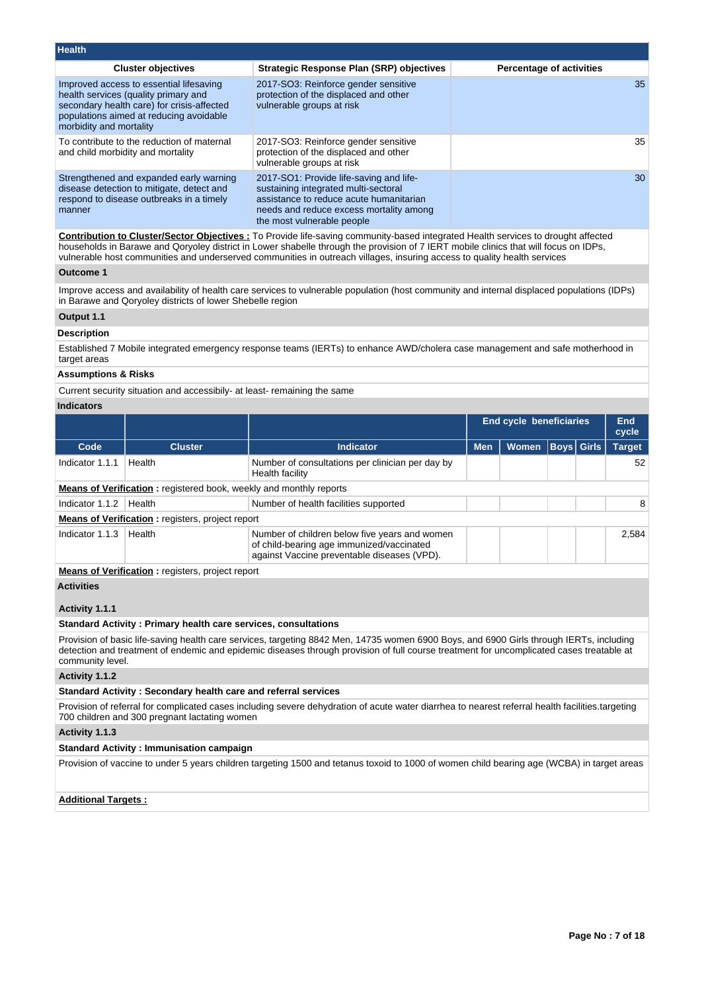| <b>Health</b>                                                                                                                                                                                       |                                                                                                                                                                                                     |                                 |
|-----------------------------------------------------------------------------------------------------------------------------------------------------------------------------------------------------|-----------------------------------------------------------------------------------------------------------------------------------------------------------------------------------------------------|---------------------------------|
| <b>Cluster objectives</b>                                                                                                                                                                           | <b>Strategic Response Plan (SRP) objectives</b>                                                                                                                                                     | <b>Percentage of activities</b> |
| Improved access to essential lifesaving<br>health services (quality primary and<br>secondary health care) for crisis-affected<br>populations aimed at reducing avoidable<br>morbidity and mortality | 2017-SO3: Reinforce gender sensitive<br>protection of the displaced and other<br>vulnerable groups at risk                                                                                          | 35                              |
| To contribute to the reduction of maternal<br>and child morbidity and mortality                                                                                                                     | 2017-SO3: Reinforce gender sensitive<br>protection of the displaced and other<br>vulnerable groups at risk                                                                                          | 35                              |
| Strengthened and expanded early warning<br>disease detection to mitigate, detect and<br>respond to disease outbreaks in a timely<br>manner                                                          | 2017-SO1: Provide life-saving and life-<br>sustaining integrated multi-sectoral<br>assistance to reduce acute humanitarian<br>needs and reduce excess mortality among<br>the most vulnerable people | 30                              |
|                                                                                                                                                                                                     |                                                                                                                                                                                                     |                                 |

**Contribution to Cluster/Sector Objectives :** To Provide life-saving community-based integrated Health services to drought affected households in Barawe and Qoryoley district in Lower shabelle through the provision of 7 IERT mobile clinics that will focus on IDPs, vulnerable host communities and underserved communities in outreach villages, insuring access to quality health services

# **Outcome 1**

Improve access and availability of health care services to vulnerable population (host community and internal displaced populations (IDPs) in Barawe and Qoryoley districts of lower Shebelle region

# **Output 1.1**

#### **Description**

Established 7 Mobile integrated emergency response teams (IERTs) to enhance AWD/cholera case management and safe motherhood in target areas

### **Assumptions & Risks**

Current security situation and accessibily- at least- remaining the same

# **Indicators**

|                                                                                                                                                                                                                                                                                                         |                                                                                                                                                                                                   |                                                                                                                                           | <b>End cycle beneficiaries</b><br><b>End</b><br>cycle |              |      |              |               |
|---------------------------------------------------------------------------------------------------------------------------------------------------------------------------------------------------------------------------------------------------------------------------------------------------------|---------------------------------------------------------------------------------------------------------------------------------------------------------------------------------------------------|-------------------------------------------------------------------------------------------------------------------------------------------|-------------------------------------------------------|--------------|------|--------------|---------------|
| Code                                                                                                                                                                                                                                                                                                    | <b>Cluster</b>                                                                                                                                                                                    | <b>Indicator</b>                                                                                                                          | <b>Men</b>                                            | <b>Women</b> | Boys | <b>Girls</b> | <b>Target</b> |
| Indicator 1.1.1                                                                                                                                                                                                                                                                                         | Health                                                                                                                                                                                            | Number of consultations per clinician per day by<br>Health facility                                                                       |                                                       |              |      |              | 52            |
|                                                                                                                                                                                                                                                                                                         | <b>Means of Verification:</b> registered book, weekly and monthly reports                                                                                                                         |                                                                                                                                           |                                                       |              |      |              |               |
| Indicator 1.1.2                                                                                                                                                                                                                                                                                         | Health                                                                                                                                                                                            | Number of health facilities supported                                                                                                     |                                                       |              |      |              | 8             |
|                                                                                                                                                                                                                                                                                                         | <b>Means of Verification:</b> registers, project report                                                                                                                                           |                                                                                                                                           |                                                       |              |      |              |               |
| Indicator 1.1.3                                                                                                                                                                                                                                                                                         | Health                                                                                                                                                                                            | Number of children below five years and women<br>of child-bearing age immunized/vaccinated<br>against Vaccine preventable diseases (VPD). |                                                       |              |      |              | 2,584         |
|                                                                                                                                                                                                                                                                                                         | <b>Means of Verification:</b> registers, project report                                                                                                                                           |                                                                                                                                           |                                                       |              |      |              |               |
| <b>Activities</b>                                                                                                                                                                                                                                                                                       |                                                                                                                                                                                                   |                                                                                                                                           |                                                       |              |      |              |               |
| Activity 1.1.1                                                                                                                                                                                                                                                                                          |                                                                                                                                                                                                   |                                                                                                                                           |                                                       |              |      |              |               |
|                                                                                                                                                                                                                                                                                                         | <b>Standard Activity: Primary health care services, consultations</b>                                                                                                                             |                                                                                                                                           |                                                       |              |      |              |               |
| Provision of basic life-saving health care services, targeting 8842 Men, 14735 women 6900 Boys, and 6900 Girls through IERTs, including<br>detection and treatment of endemic and epidemic diseases through provision of full course treatment for uncomplicated cases treatable at<br>community level. |                                                                                                                                                                                                   |                                                                                                                                           |                                                       |              |      |              |               |
| Activity 1.1.2                                                                                                                                                                                                                                                                                          |                                                                                                                                                                                                   |                                                                                                                                           |                                                       |              |      |              |               |
|                                                                                                                                                                                                                                                                                                         | Standard Activity: Secondary health care and referral services                                                                                                                                    |                                                                                                                                           |                                                       |              |      |              |               |
|                                                                                                                                                                                                                                                                                                         | Provision of referral for complicated cases including severe dehydration of acute water diarrhea to nearest referral health facilities targeting<br>700 children and 300 pregnant lactating women |                                                                                                                                           |                                                       |              |      |              |               |
| Activity 1.1.3                                                                                                                                                                                                                                                                                          |                                                                                                                                                                                                   |                                                                                                                                           |                                                       |              |      |              |               |
|                                                                                                                                                                                                                                                                                                         | <b>Standard Activity: Immunisation campaign</b>                                                                                                                                                   |                                                                                                                                           |                                                       |              |      |              |               |

Provision of vaccine to under 5 years children targeting 1500 and tetanus toxoid to 1000 of women child bearing age (WCBA) in target areas

**Additional Targets :**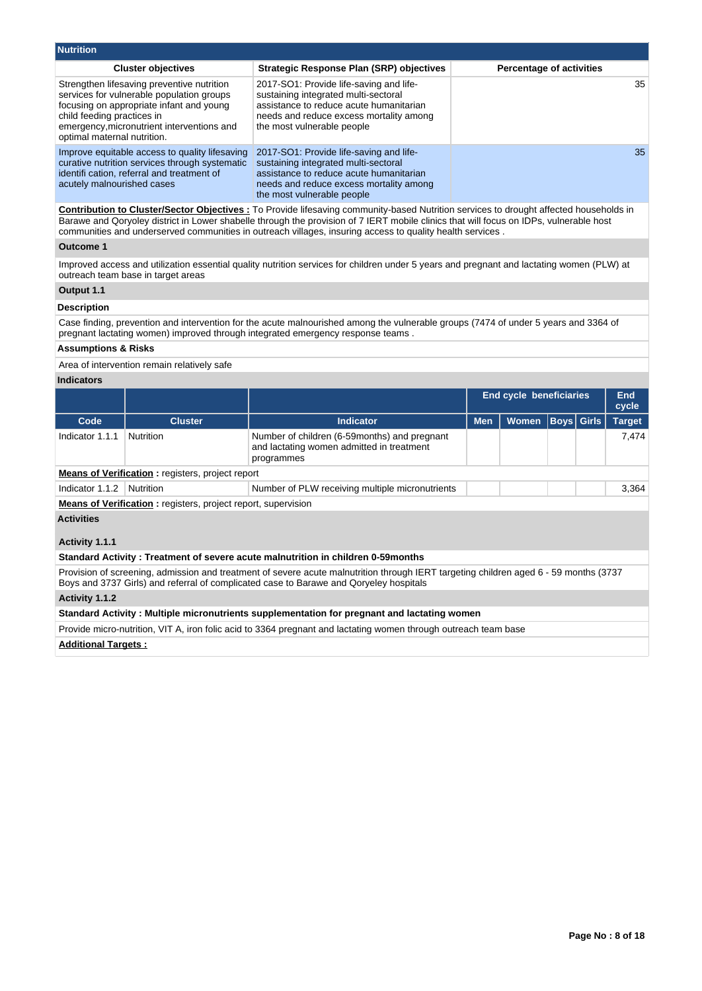| <b>Nutrition</b>                                                                                                                                                                                                                               |                                                                                                                                                                                                     |                          |
|------------------------------------------------------------------------------------------------------------------------------------------------------------------------------------------------------------------------------------------------|-----------------------------------------------------------------------------------------------------------------------------------------------------------------------------------------------------|--------------------------|
| <b>Cluster objectives</b>                                                                                                                                                                                                                      | <b>Strategic Response Plan (SRP) objectives</b>                                                                                                                                                     | Percentage of activities |
| Strengthen lifesaving preventive nutrition<br>services for vulnerable population groups<br>focusing on appropriate infant and young<br>child feeding practices in<br>emergency, micronutrient interventions and<br>optimal maternal nutrition. | 2017-SO1: Provide life-saving and life-<br>sustaining integrated multi-sectoral<br>assistance to reduce acute humanitarian<br>needs and reduce excess mortality among<br>the most vulnerable people | 35                       |
| Improve equitable access to quality lifesaving<br>curative nutrition services through systematic<br>identifi cation, referral and treatment of<br>acutely malnourished cases                                                                   | 2017-SO1: Provide life-saving and life-<br>sustaining integrated multi-sectoral<br>assistance to reduce acute humanitarian<br>needs and reduce excess mortality among<br>the most vulnerable people | 35                       |
|                                                                                                                                                                                                                                                |                                                                                                                                                                                                     | .                        |

**Contribution to Cluster/Sector Objectives :** To Provide lifesaving community-based Nutrition services to drought affected households in Barawe and Qoryoley district in Lower shabelle through the provision of 7 IERT mobile clinics that will focus on IDPs, vulnerable host communities and underserved communities in outreach villages, insuring access to quality health services .

#### **Outcome 1**

Improved access and utilization essential quality nutrition services for children under 5 years and pregnant and lactating women (PLW) at outreach team base in target areas

# **Output 1.1**

# **Description**

Case finding, prevention and intervention for the acute malnourished among the vulnerable groups (7474 of under 5 years and 3364 of pregnant lactating women) improved through integrated emergency response teams .

#### **Assumptions & Risks**

Area of intervention remain relatively safe

# **Indicators**

|                                                         |                  |                                                                                                         |            | <b>End cycle beneficiaries</b> |  |  | End<br>cycle  |
|---------------------------------------------------------|------------------|---------------------------------------------------------------------------------------------------------|------------|--------------------------------|--|--|---------------|
| Code                                                    | <b>Cluster</b>   | Indicator                                                                                               | <b>Men</b> | Women Boys Girls               |  |  | <b>Target</b> |
| Indicator 1.1.1                                         | <b>Nutrition</b> | Number of children (6-59months) and pregnant<br>and lactating women admitted in treatment<br>programmes |            |                                |  |  | 7.474         |
| <b>Means of Verification:</b> registers, project report |                  |                                                                                                         |            |                                |  |  |               |
| Indicator 1.1.2                                         | Nutrition        | Number of PLW receiving multiple micronutrients                                                         |            |                                |  |  | 3.364         |

**Means of Verification :** registers, project report, supervision

**Activities**

**Activity 1.1.1** 

**Standard Activity : Treatment of severe acute malnutrition in children 0-59months**

Provision of screening, admission and treatment of severe acute malnutrition through IERT targeting children aged 6 - 59 months (3737 Boys and 3737 Girls) and referral of complicated case to Barawe and Qoryeley hospitals

#### **Activity 1.1.2**

#### **Standard Activity : Multiple micronutrients supplementation for pregnant and lactating women**

Provide micro-nutrition, VIT A, iron folic acid to 3364 pregnant and lactating women through outreach team base

#### **Additional Targets :**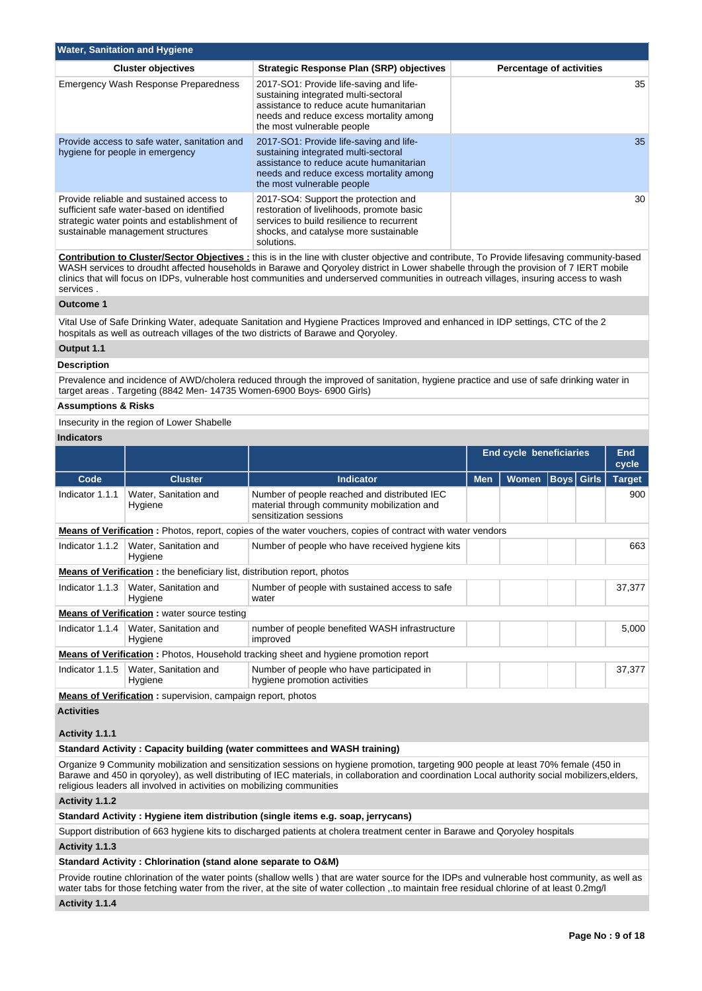| <b>Water, Sanitation and Hygiene</b>                                                                                                                                      |                                                                                                                                                                                                     |                                 |  |  |  |  |  |  |  |
|---------------------------------------------------------------------------------------------------------------------------------------------------------------------------|-----------------------------------------------------------------------------------------------------------------------------------------------------------------------------------------------------|---------------------------------|--|--|--|--|--|--|--|
| <b>Cluster objectives</b>                                                                                                                                                 | <b>Strategic Response Plan (SRP) objectives</b>                                                                                                                                                     | <b>Percentage of activities</b> |  |  |  |  |  |  |  |
| <b>Emergency Wash Response Preparedness</b>                                                                                                                               | 2017-SO1: Provide life-saving and life-<br>sustaining integrated multi-sectoral<br>assistance to reduce acute humanitarian<br>needs and reduce excess mortality among<br>the most vulnerable people | 35                              |  |  |  |  |  |  |  |
| Provide access to safe water, sanitation and<br>hygiene for people in emergency                                                                                           | 2017-SO1: Provide life-saving and life-<br>sustaining integrated multi-sectoral<br>assistance to reduce acute humanitarian<br>needs and reduce excess mortality among<br>the most vulnerable people | 35                              |  |  |  |  |  |  |  |
| Provide reliable and sustained access to<br>sufficient safe water-based on identified<br>strategic water points and establishment of<br>sustainable management structures | 2017-SO4: Support the protection and<br>restoration of livelihoods, promote basic<br>services to build resilience to recurrent<br>shocks, and catalyse more sustainable<br>solutions.               | 30                              |  |  |  |  |  |  |  |

**Contribution to Cluster/Sector Objectives :** this is in the line with cluster objective and contribute, To Provide lifesaving community-based WASH services to droudht affected households in Barawe and Qoryoley district in Lower shabelle through the provision of 7 IERT mobile clinics that will focus on IDPs, vulnerable host communities and underserved communities in outreach villages, insuring access to wash services .

#### **Outcome 1**

Vital Use of Safe Drinking Water, adequate Sanitation and Hygiene Practices Improved and enhanced in IDP settings, CTC of the 2 hospitals as well as outreach villages of the two districts of Barawe and Qoryoley.

#### **Output 1.1**

#### **Description**

Prevalence and incidence of AWD/cholera reduced through the improved of sanitation, hygiene practice and use of safe drinking water in target areas . Targeting (8842 Men- 14735 Women-6900 Boys- 6900 Girls)

#### **Assumptions & Risks**

Insecurity in the region of Lower Shabelle

#### **Indicators**

|                                                                                 |                                                                    |                                                                                                                       | <b>End cycle beneficiaries</b> |              | <b>End</b><br>cycle |                   |               |
|---------------------------------------------------------------------------------|--------------------------------------------------------------------|-----------------------------------------------------------------------------------------------------------------------|--------------------------------|--------------|---------------------|-------------------|---------------|
| Code                                                                            | <b>Cluster</b>                                                     | Indicator                                                                                                             | <b>Men</b>                     | <b>Women</b> |                     | <b>Boys</b> Girls | <b>Target</b> |
| Indicator 1.1.1                                                                 | Water, Sanitation and<br>Hygiene                                   | Number of people reached and distributed IEC<br>material through community mobilization and<br>sensitization sessions |                                |              |                     |                   | 900           |
|                                                                                 |                                                                    | <b>Means of Verification</b> : Photos, report, copies of the water vouchers, copies of contract with water vendors    |                                |              |                     |                   |               |
| Indicator 1.1.2                                                                 | Water, Sanitation and<br>Hygiene                                   | Number of people who have received hygiene kits                                                                       |                                |              |                     |                   | 663           |
| <b>Means of Verification:</b> the beneficiary list, distribution report, photos |                                                                    |                                                                                                                       |                                |              |                     |                   |               |
| Indicator 1.1.3                                                                 | Water, Sanitation and<br>Hygiene                                   | Number of people with sustained access to safe<br>water                                                               |                                |              |                     |                   | 37,377        |
|                                                                                 | <b>Means of Verification:</b> water source testing                 |                                                                                                                       |                                |              |                     |                   |               |
| Indicator 1.1.4                                                                 | Water, Sanitation and<br>Hygiene                                   | number of people benefited WASH infrastructure<br>improved                                                            |                                |              |                     |                   | 5,000         |
|                                                                                 |                                                                    | <b>Means of Verification:</b> Photos, Household tracking sheet and hygiene promotion report                           |                                |              |                     |                   |               |
| Indicator 1.1.5                                                                 | Water, Sanitation and<br>Hygiene                                   | Number of people who have participated in<br>hygiene promotion activities                                             |                                |              |                     |                   | 37,377        |
|                                                                                 | <b>Means of Verification:</b> supervision, campaign report, photos |                                                                                                                       |                                |              |                     |                   |               |

**Activities**

# **Activity 1.1.1**

#### **Standard Activity : Capacity building (water committees and WASH training)**

Organize 9 Community mobilization and sensitization sessions on hygiene promotion, targeting 900 people at least 70% female (450 in Barawe and 450 in qoryoley), as well distributing of IEC materials, in collaboration and coordination Local authority social mobilizers,elders, religious leaders all involved in activities on mobilizing communities

#### **Activity 1.1.2**

# **Standard Activity : Hygiene item distribution (single items e.g. soap, jerrycans)**

Support distribution of 663 hygiene kits to discharged patients at cholera treatment center in Barawe and Qoryoley hospitals

**Activity 1.1.3** 

#### **Standard Activity : Chlorination (stand alone separate to O&M)**

Provide routine chlorination of the water points (shallow wells ) that are water source for the IDPs and vulnerable host community, as well as water tabs for those fetching water from the river, at the site of water collection ,.to maintain free residual chlorine of at least 0.2mg/l

**Activity 1.1.4**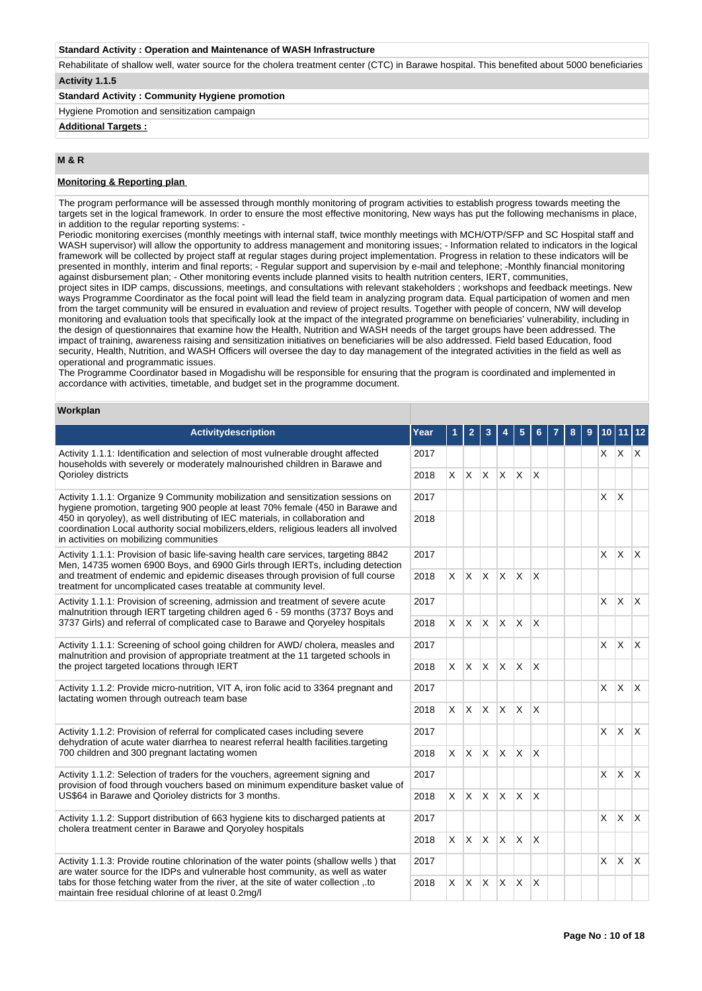#### **Standard Activity : Operation and Maintenance of WASH Infrastructure**

Rehabilitate of shallow well, water source for the cholera treatment center (CTC) in Barawe hospital. This benefited about 5000 beneficiaries **Activity 1.1.5** 

### **Standard Activity : Community Hygiene promotion**

Hygiene Promotion and sensitization campaign

# **Additional Targets :**

# **M & R**

#### **Monitoring & Reporting plan**

The program performance will be assessed through monthly monitoring of program activities to establish progress towards meeting the targets set in the logical framework. In order to ensure the most effective monitoring, New ways has put the following mechanisms in place, in addition to the regular reporting systems:

Periodic monitoring exercises (monthly meetings with internal staff, twice monthly meetings with MCH/OTP/SFP and SC Hospital staff and WASH supervisor) will allow the opportunity to address management and monitoring issues; - Information related to indicators in the logical framework will be collected by project staff at regular stages during project implementation. Progress in relation to these indicators will be presented in monthly, interim and final reports; - Regular support and supervision by e-mail and telephone; -Monthly financial monitoring against disbursement plan; - Other monitoring events include planned visits to health nutrition centers, IERT, communities,

project sites in IDP camps, discussions, meetings, and consultations with relevant stakeholders ; workshops and feedback meetings. New ways Programme Coordinator as the focal point will lead the field team in analyzing program data. Equal participation of women and men from the target community will be ensured in evaluation and review of project results. Together with people of concern, NW will develop monitoring and evaluation tools that specifically look at the impact of the integrated programme on beneficiaries' vulnerability, including in the design of questionnaires that examine how the Health, Nutrition and WASH needs of the target groups have been addressed. The impact of training, awareness raising and sensitization initiatives on beneficiaries will be also addressed. Field based Education, food security, Health, Nutrition, and WASH Officers will oversee the day to day management of the integrated activities in the field as well as operational and programmatic issues.

The Programme Coordinator based in Mogadishu will be responsible for ensuring that the program is coordinated and implemented in accordance with activities, timetable, and budget set in the programme document.

#### **Workplan**

| <b>Activitydescription</b>                                                                                                                                                                                         | Year |          | $\overline{2}$ | 3            |              | 5            |                         |  | 9 | 10             | 11           |              |  |
|--------------------------------------------------------------------------------------------------------------------------------------------------------------------------------------------------------------------|------|----------|----------------|--------------|--------------|--------------|-------------------------|--|---|----------------|--------------|--------------|--|
| Activity 1.1.1: Identification and selection of most vulnerable drought affected<br>households with severely or moderately malnourished children in Barawe and                                                     | 2017 |          |                |              |              |              |                         |  |   | $\mathsf{X}^-$ | $x \mid x$   |              |  |
| Qorioley districts                                                                                                                                                                                                 | 2018 | X        | X.             | $\mathsf{X}$ | $\mathsf{X}$ | $\mathsf{X}$ | $\mathsf{x}$            |  |   |                |              |              |  |
| Activity 1.1.1: Organize 9 Community mobilization and sensitization sessions on<br>hygiene promotion, targeting 900 people at least 70% female (450 in Barawe and                                                  | 2017 |          |                |              |              |              |                         |  |   | X              | X            |              |  |
| 450 in goryoley), as well distributing of IEC materials, in collaboration and<br>coordination Local authority social mobilizers, elders, religious leaders all involved<br>in activities on mobilizing communities | 2018 |          |                |              |              |              |                         |  |   |                |              |              |  |
| Activity 1.1.1: Provision of basic life-saving health care services, targeting 8842<br>Men, 14735 women 6900 Boys, and 6900 Girls through IERTs, including detection                                               | 2017 |          |                |              |              |              |                         |  |   | X              | <b>X</b>     | $\mathsf{X}$ |  |
| and treatment of endemic and epidemic diseases through provision of full course<br>treatment for uncomplicated cases treatable at community level.                                                                 | 2018 | X        | X.             |              | $X \times X$ |              | X                       |  |   |                |              |              |  |
| Activity 1.1.1: Provision of screening, admission and treatment of severe acute<br>malnutrition through IERT targeting children aged 6 - 59 months (3737 Boys and                                                  | 2017 |          |                |              |              |              |                         |  |   | $\mathsf{x}$   | <b>X</b>     | $\mathsf{X}$ |  |
| 3737 Girls) and referral of complicated case to Barawe and Qoryeley hospitals                                                                                                                                      | 2018 | $\times$ | <b>X</b>       | $\mathsf{X}$ | $\mathsf{X}$ | $\mathsf{X}$ | X                       |  |   |                |              |              |  |
| Activity 1.1.1: Screening of school going children for AWD/ cholera, measles and<br>malnutrition and provision of appropriate treatment at the 11 targeted schools in                                              | 2017 |          |                |              |              |              |                         |  |   | X              | $\mathsf{X}$ | $\mathsf{X}$ |  |
| the project targeted locations through IERT                                                                                                                                                                        | 2018 | X        | <b>X</b>       |              | $x \times x$ |              | $\times$                |  |   |                |              |              |  |
| Activity 1.1.2: Provide micro-nutrition, VIT A, iron folic acid to 3364 pregnant and<br>lactating women through outreach team base                                                                                 | 2017 |          |                |              |              |              |                         |  |   | $\times$       | <b>X</b>     | $\mathsf{X}$ |  |
|                                                                                                                                                                                                                    | 2018 | $\times$ | $\mathsf{X}$   | IX.          | $\mathsf{X}$ | ΙX.          | $\times$                |  |   |                |              |              |  |
| Activity 1.1.2: Provision of referral for complicated cases including severe<br>dehydration of acute water diarrhea to nearest referral health facilities.targeting                                                | 2017 |          |                |              |              |              |                         |  |   | $\times$       | $\mathsf{X}$ | ΙX.          |  |
| 700 children and 300 pregnant lactating women                                                                                                                                                                      | 2018 | X        | X.             | $\mathsf{X}$ | $\mathsf{X}$ | $\mathsf{X}$ | $\mathsf{x}$            |  |   |                |              |              |  |
| Activity 1.1.2: Selection of traders for the vouchers, agreement signing and<br>provision of food through vouchers based on minimum expenditure basket value of                                                    | 2017 |          |                |              |              |              |                         |  |   | X              | $\mathsf{X}$ | <sup>X</sup> |  |
| US\$64 in Barawe and Qorioley districts for 3 months.                                                                                                                                                              | 2018 | X        | <b>X</b>       |              | $x \times x$ |              | $\times$                |  |   |                |              |              |  |
| Activity 1.1.2: Support distribution of 663 hygiene kits to discharged patients at<br>cholera treatment center in Barawe and Qoryoley hospitals                                                                    | 2017 |          |                |              |              |              |                         |  |   | $\times$       | X            | $\mathsf{X}$ |  |
|                                                                                                                                                                                                                    | 2018 | X        | <b>X</b>       | $x \times$   |              | $\mathsf{X}$ | $\overline{\mathsf{x}}$ |  |   |                |              |              |  |
| Activity 1.1.3: Provide routine chlorination of the water points (shallow wells) that<br>are water source for the IDPs and vulnerable host community, as well as water                                             |      |          |                |              |              |              |                         |  |   | $\times$       | <b>X</b>     | $\times$     |  |
| tabs for those fetching water from the river, at the site of water collection , to<br>maintain free residual chlorine of at least 0.2mg/l                                                                          | 2018 | $\times$ | <b>X</b>       | $\mathsf{X}$ | $\mathsf{X}$ | X            | $\times$                |  |   |                |              |              |  |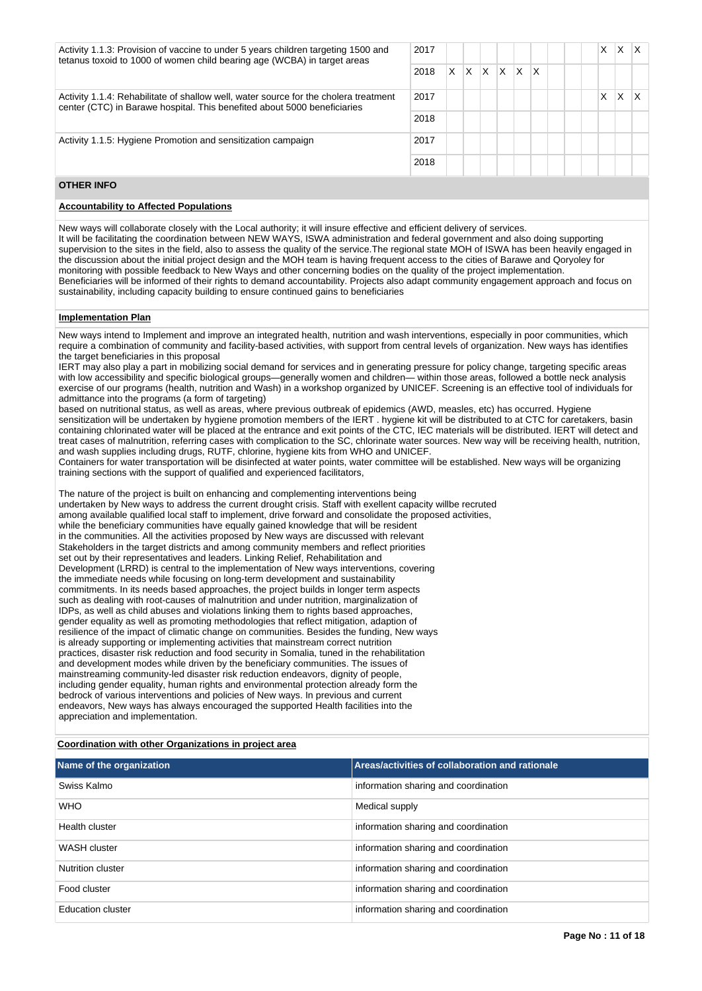| Activity 1.1.3: Provision of vaccine to under 5 years children targeting 1500 and<br>tetanus toxoid to 1000 of women child bearing age (WCBA) in target areas    |      |   |   |    |          |              |                         |  | Χ | x |  |
|------------------------------------------------------------------------------------------------------------------------------------------------------------------|------|---|---|----|----------|--------------|-------------------------|--|---|---|--|
|                                                                                                                                                                  |      | X | X | X. | <b>X</b> | $\mathsf{X}$ | $\mathsf{I} \mathsf{X}$ |  |   |   |  |
| Activity 1.1.4: Rehabilitate of shallow well, water source for the cholera treatment<br>center (CTC) in Barawe hospital. This benefited about 5000 beneficiaries | 2017 |   |   |    |          |              |                         |  | Χ | x |  |
|                                                                                                                                                                  | 2018 |   |   |    |          |              |                         |  |   |   |  |
| Activity 1.1.5: Hygiene Promotion and sensitization campaign                                                                                                     |      |   |   |    |          |              |                         |  |   |   |  |
|                                                                                                                                                                  |      |   |   |    |          |              |                         |  |   |   |  |
| <b>OTHER INFO</b>                                                                                                                                                |      |   |   |    |          |              |                         |  |   |   |  |

#### **Accountability to Affected Populations**

New ways will collaborate closely with the Local authority; it will insure effective and efficient delivery of services. It will be facilitating the coordination between NEW WAYS, ISWA administration and federal government and also doing supporting supervision to the sites in the field, also to assess the quality of the service. The regional state MOH of ISWA has been heavily engaged in the discussion about the initial project design and the MOH team is having frequent access to the cities of Barawe and Qoryoley for monitoring with possible feedback to New Ways and other concerning bodies on the quality of the project implementation. Beneficiaries will be informed of their rights to demand accountability. Projects also adapt community engagement approach and focus on sustainability, including capacity building to ensure continued gains to beneficiaries

#### **Implementation Plan**

New ways intend to Implement and improve an integrated health, nutrition and wash interventions, especially in poor communities, which require a combination of community and facility-based activities, with support from central levels of organization. New ways has identifies the target beneficiaries in this proposal

IERT may also play a part in mobilizing social demand for services and in generating pressure for policy change, targeting specific areas with low accessibility and specific biological groups—generally women and children— within those areas, followed a bottle neck analysis exercise of our programs (health, nutrition and Wash) in a workshop organized by UNICEF. Screening is an effective tool of individuals for admittance into the programs (a form of targeting)

based on nutritional status, as well as areas, where previous outbreak of epidemics (AWD, measles, etc) has occurred. Hygiene sensitization will be undertaken by hygiene promotion members of the IERT . hygiene kit will be distributed to at CTC for caretakers, basin containing chlorinated water will be placed at the entrance and exit points of the CTC, IEC materials will be distributed. IERT will detect and treat cases of malnutrition, referring cases with complication to the SC, chlorinate water sources. New way will be receiving health, nutrition, and wash supplies including drugs, RUTF, chlorine, hygiene kits from WHO and UNICEF.

Containers for water transportation will be disinfected at water points, water committee will be established. New ways will be organizing training sections with the support of qualified and experienced facilitators,

The nature of the project is built on enhancing and complementing interventions being undertaken by New ways to address the current drought crisis. Staff with exellent capacity willbe recruted among available qualified local staff to implement, drive forward and consolidate the proposed activities, while the beneficiary communities have equally gained knowledge that will be resident in the communities. All the activities proposed by New ways are discussed with relevant Stakeholders in the target districts and among community members and reflect priorities set out by their representatives and leaders. Linking Relief, Rehabilitation and Development (LRRD) is central to the implementation of New ways interventions, covering the immediate needs while focusing on long-term development and sustainability commitments. In its needs based approaches, the project builds in longer term aspects such as dealing with root-causes of malnutrition and under nutrition, marginalization of IDPs, as well as child abuses and violations linking them to rights based approaches, gender equality as well as promoting methodologies that reflect mitigation, adaption of resilience of the impact of climatic change on communities. Besides the funding, New ways is already supporting or implementing activities that mainstream correct nutrition practices, disaster risk reduction and food security in Somalia, tuned in the rehabilitation and development modes while driven by the beneficiary communities. The issues of mainstreaming community-led disaster risk reduction endeavors, dignity of people, including gender equality, human rights and environmental protection already form the bedrock of various interventions and policies of New ways. In previous and current endeavors, New ways has always encouraged the supported Health facilities into the appreciation and implementation.

#### **Coordination with other Organizations in project area**

| Name of the organization | Areas/activities of collaboration and rationale |
|--------------------------|-------------------------------------------------|
| Swiss Kalmo              | information sharing and coordination            |
| <b>WHO</b>               | Medical supply                                  |
| Health cluster           | information sharing and coordination            |
| WASH cluster             | information sharing and coordination            |
| Nutrition cluster        | information sharing and coordination            |
| Food cluster             | information sharing and coordination            |
| <b>Education cluster</b> | information sharing and coordination            |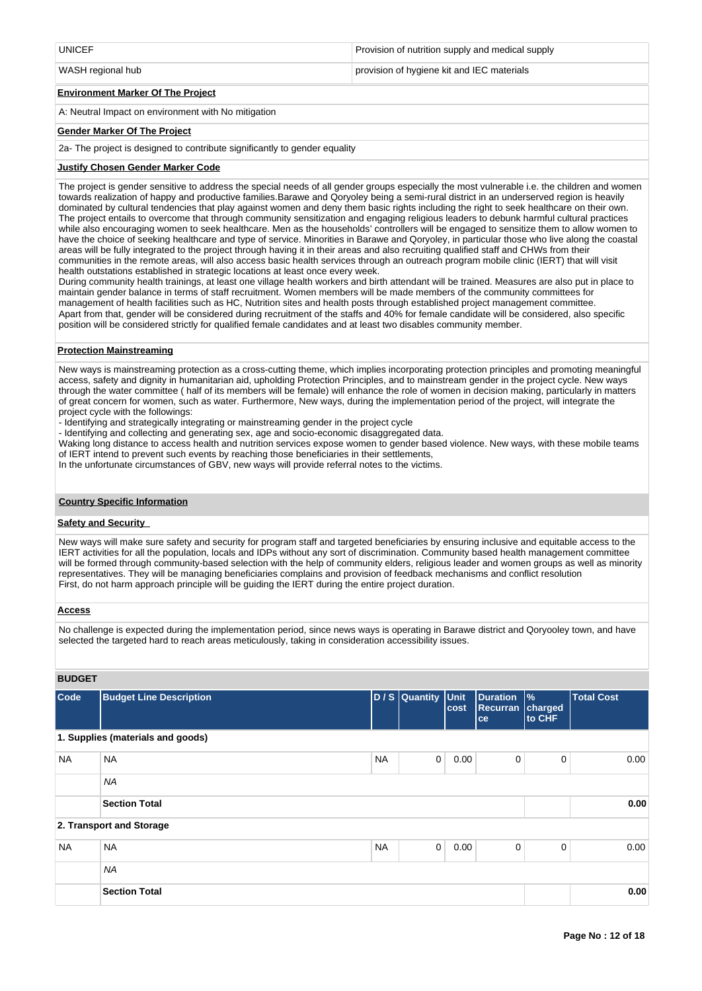| <b>LINICEE</b> | f nutrition supply and medical supply |
|----------------|---------------------------------------|
|                |                                       |

WASH regional hub **provision of hygiene kit and IEC materials** provision of hygiene kit and IEC materials

#### **Environment Marker Of The Project**

A: Neutral Impact on environment with No mitigation

#### **Gender Marker Of The Project**

2a- The project is designed to contribute significantly to gender equality

#### **Justify Chosen Gender Marker Code**

The project is gender sensitive to address the special needs of all gender groups especially the most vulnerable i.e. the children and women towards realization of happy and productive families.Barawe and Qoryoley being a semi-rural district in an underserved region is heavily dominated by cultural tendencies that play against women and deny them basic rights including the right to seek healthcare on their own. The project entails to overcome that through community sensitization and engaging religious leaders to debunk harmful cultural practices while also encouraging women to seek healthcare. Men as the households' controllers will be engaged to sensitize them to allow women to have the choice of seeking healthcare and type of service. Minorities in Barawe and Qoryoley, in particular those who live along the coastal areas will be fully integrated to the project through having it in their areas and also recruiting qualified staff and CHWs from their communities in the remote areas, will also access basic health services through an outreach program mobile clinic (IERT) that will visit health outstations established in strategic locations at least once every week.

During community health trainings, at least one village health workers and birth attendant will be trained. Measures are also put in place to maintain gender balance in terms of staff recruitment. Women members will be made members of the community committees for management of health facilities such as HC, Nutrition sites and health posts through established project management committee. Apart from that, gender will be considered during recruitment of the staffs and 40% for female candidate will be considered, also specific position will be considered strictly for qualified female candidates and at least two disables community member.

#### **Protection Mainstreaming**

New ways is mainstreaming protection as a cross-cutting theme, which implies incorporating protection principles and promoting meaningful access, safety and dignity in humanitarian aid, upholding Protection Principles, and to mainstream gender in the project cycle. New ways through the water committee ( half of its members will be female) will enhance the role of women in decision making, particularly in matters of great concern for women, such as water. Furthermore, New ways, during the implementation period of the project, will integrate the project cycle with the followings:

- Identifying and strategically integrating or mainstreaming gender in the project cycle
- Identifying and collecting and generating sex, age and socio-economic disaggregated data.
- Waking long distance to access health and nutrition services expose women to gender based violence. New ways, with these mobile teams of IERT intend to prevent such events by reaching those beneficiaries in their settlements,
- In the unfortunate circumstances of GBV, new ways will provide referral notes to the victims.

#### **Country Specific Information**

#### **Safety and Security**

New ways will make sure safety and security for program staff and targeted beneficiaries by ensuring inclusive and equitable access to the IERT activities for all the population, locals and IDPs without any sort of discrimination. Community based health management committee will be formed through community-based selection with the help of community elders, religious leader and women groups as well as minority representatives. They will be managing beneficiaries complains and provision of feedback mechanisms and conflict resolution First, do not harm approach principle will be guiding the IERT during the entire project duration.

#### **Access**

No challenge is expected during the implementation period, since news ways is operating in Barawe district and Qoryooley town, and have selected the targeted hard to reach areas meticulously, taking in consideration accessibility issues.

# **BUDGET**

| Code      | <b>Budget Line Description</b>    |           | D / S Quantity Unit | cost | <b>Duration</b><br><b>Recurran</b><br>ce | $\frac{9}{6}$<br>charged<br>to CHF | <b>Total Cost</b> |
|-----------|-----------------------------------|-----------|---------------------|------|------------------------------------------|------------------------------------|-------------------|
|           | 1. Supplies (materials and goods) |           |                     |      |                                          |                                    |                   |
| <b>NA</b> | <b>NA</b>                         | <b>NA</b> | 0                   | 0.00 | 0                                        | 0                                  | 0.00              |
|           | <b>NA</b>                         |           |                     |      |                                          |                                    |                   |
|           | <b>Section Total</b>              |           |                     |      |                                          |                                    | 0.00              |
|           | 2. Transport and Storage          |           |                     |      |                                          |                                    |                   |
| <b>NA</b> | <b>NA</b>                         | <b>NA</b> | $\mathbf 0$         | 0.00 | 0                                        | 0                                  | 0.00              |
|           | <b>NA</b>                         |           |                     |      |                                          |                                    |                   |
|           | <b>Section Total</b>              |           |                     |      |                                          |                                    | 0.00              |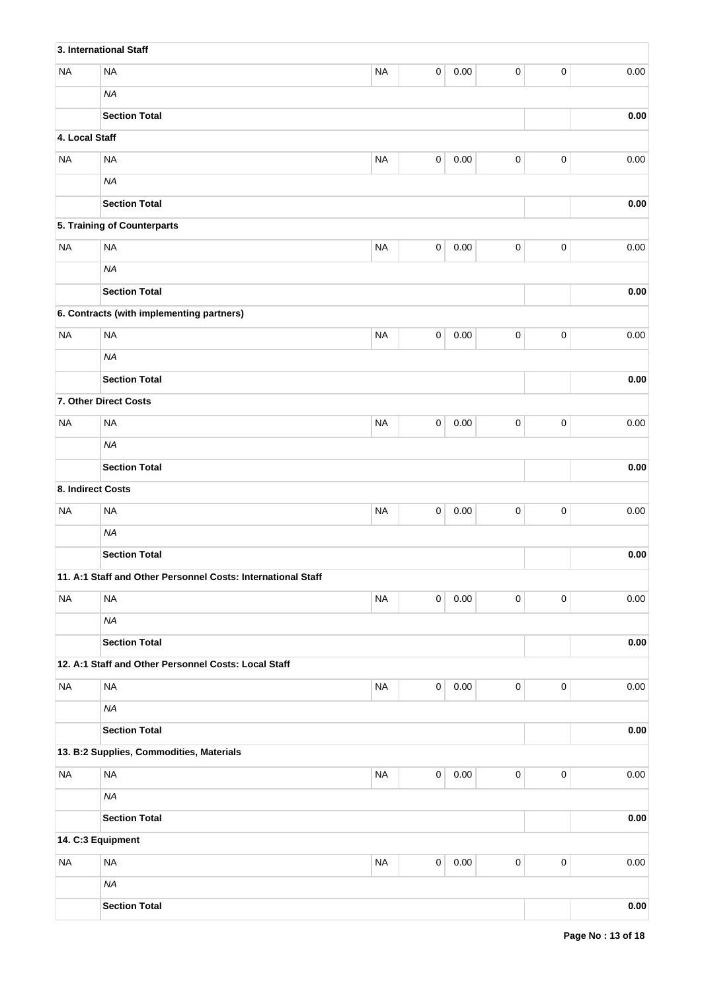|                   | 3. International Staff                                       |           |             |          |                     |           |            |
|-------------------|--------------------------------------------------------------|-----------|-------------|----------|---------------------|-----------|------------|
| <b>NA</b>         | <b>NA</b>                                                    | <b>NA</b> | 0           | 0.00     | 0                   | $\pmb{0}$ | 0.00       |
|                   | <b>NA</b>                                                    |           |             |          |                     |           |            |
|                   | <b>Section Total</b>                                         |           |             |          |                     |           | 0.00       |
| 4. Local Staff    |                                                              |           |             |          |                     |           |            |
| <b>NA</b>         | <b>NA</b>                                                    | <b>NA</b> | 0           | 0.00     | 0                   | $\pmb{0}$ | 0.00       |
|                   | <b>NA</b>                                                    |           |             |          |                     |           |            |
|                   | <b>Section Total</b>                                         |           |             |          |                     |           | 0.00       |
|                   | 5. Training of Counterparts                                  |           |             |          |                     |           |            |
| <b>NA</b>         | <b>NA</b>                                                    | <b>NA</b> | $\mathbf 0$ | 0.00     | 0                   | $\pmb{0}$ | 0.00       |
|                   | <b>NA</b>                                                    |           |             |          |                     |           |            |
|                   | <b>Section Total</b>                                         |           |             |          |                     |           | $0.00\,$   |
|                   | 6. Contracts (with implementing partners)                    |           |             |          |                     |           |            |
| <b>NA</b>         | <b>NA</b>                                                    | <b>NA</b> | $\mathbf 0$ | 0.00     | 0                   | $\pmb{0}$ | 0.00       |
|                   | <b>NA</b>                                                    |           |             |          |                     |           |            |
|                   | <b>Section Total</b>                                         |           |             |          |                     |           | $0.00\,$   |
|                   | 7. Other Direct Costs                                        |           |             |          |                     |           |            |
| <b>NA</b>         | <b>NA</b>                                                    | <b>NA</b> | 0           | 0.00     | 0                   | $\pmb{0}$ | 0.00       |
|                   | <b>NA</b>                                                    |           |             |          |                     |           |            |
|                   | <b>Section Total</b>                                         |           |             |          |                     |           | 0.00       |
| 8. Indirect Costs |                                                              |           |             |          |                     |           |            |
| <b>NA</b>         | <b>NA</b>                                                    | <b>NA</b> | $\mathbf 0$ | 0.00     | $\mathsf 0$         | $\pmb{0}$ | 0.00       |
|                   | <b>NA</b>                                                    |           |             |          |                     |           |            |
|                   | <b>Section Total</b>                                         |           |             |          |                     |           | 0.00       |
|                   | 11. A:1 Staff and Other Personnel Costs: International Staff |           |             |          |                     |           |            |
| <b>NA</b>         | <b>NA</b>                                                    | <b>NA</b> | $\mathbf 0$ | 0.00     | 0                   | $\pmb{0}$ | 0.00       |
|                   | <b>NA</b>                                                    |           |             |          |                     |           |            |
|                   | <b>Section Total</b>                                         |           |             |          |                     |           | 0.00       |
|                   | 12. A:1 Staff and Other Personnel Costs: Local Staff         |           |             |          |                     |           |            |
| <b>NA</b>         | <b>NA</b>                                                    | <b>NA</b> | $\pmb{0}$   | $0.00\,$ | $\mathsf 0$         | $\pmb{0}$ | 0.00       |
|                   | <b>NA</b>                                                    |           |             |          |                     |           |            |
|                   | <b>Section Total</b>                                         |           |             |          |                     |           | $0.00\,$   |
|                   | 13. B:2 Supplies, Commodities, Materials                     |           |             |          |                     |           |            |
| <b>NA</b>         | <b>NA</b>                                                    | <b>NA</b> | $\pmb{0}$   | $0.00\,$ | $\mathsf 0$         | $\pmb{0}$ | 0.00       |
|                   | <b>NA</b>                                                    |           |             |          |                     |           |            |
|                   | <b>Section Total</b>                                         |           |             |          |                     |           | $0.00\,$   |
|                   | 14. C:3 Equipment                                            |           |             |          |                     |           |            |
| <b>NA</b>         | <b>NA</b>                                                    | <b>NA</b> | $\mathsf 0$ | $0.00\,$ | $\mathsf{O}\xspace$ | $\pmb{0}$ | 0.00       |
|                   | <b>NA</b>                                                    |           |             |          |                     |           |            |
|                   | <b>Section Total</b>                                         |           |             |          |                     |           | $\bf 0.00$ |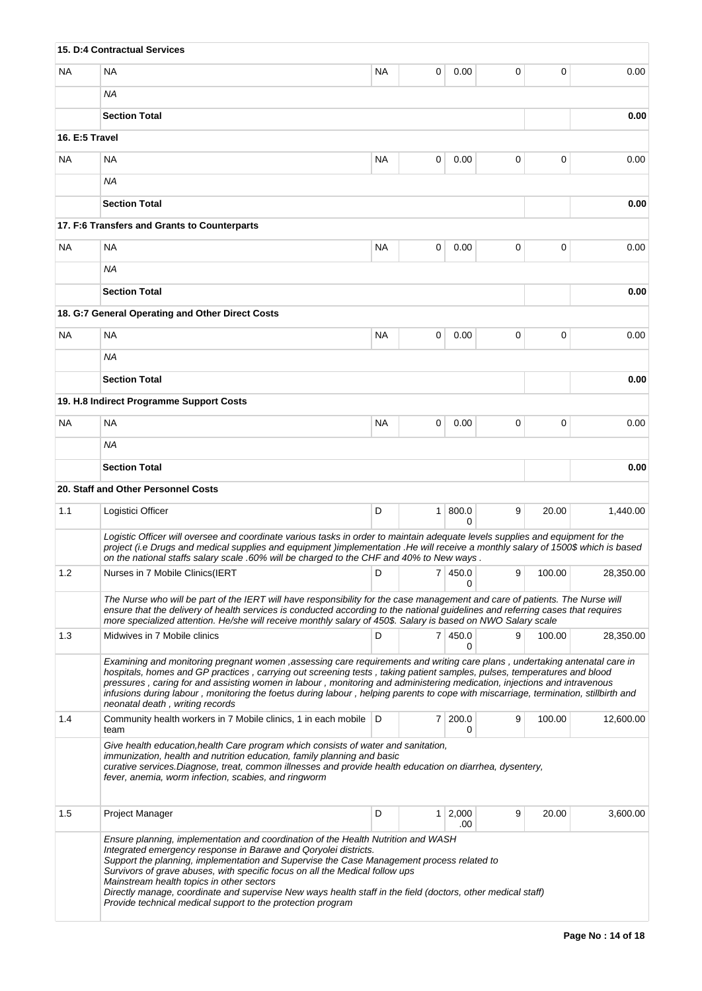|                                                                                                                                                                                                                                                                                                                                                                                                                                                                                                                                                              | 15. D:4 Contractual Services                                                                                                                                                                                                                                                                                                                                                                                                                                                                                                                                 |           |                |                |             |                 |           |  |  |
|--------------------------------------------------------------------------------------------------------------------------------------------------------------------------------------------------------------------------------------------------------------------------------------------------------------------------------------------------------------------------------------------------------------------------------------------------------------------------------------------------------------------------------------------------------------|--------------------------------------------------------------------------------------------------------------------------------------------------------------------------------------------------------------------------------------------------------------------------------------------------------------------------------------------------------------------------------------------------------------------------------------------------------------------------------------------------------------------------------------------------------------|-----------|----------------|----------------|-------------|-----------------|-----------|--|--|
| NA.                                                                                                                                                                                                                                                                                                                                                                                                                                                                                                                                                          | <b>NA</b>                                                                                                                                                                                                                                                                                                                                                                                                                                                                                                                                                    | NA.       | 0              | 0.00           | 0           | 0               | 0.00      |  |  |
|                                                                                                                                                                                                                                                                                                                                                                                                                                                                                                                                                              | NA                                                                                                                                                                                                                                                                                                                                                                                                                                                                                                                                                           |           |                |                |             |                 |           |  |  |
|                                                                                                                                                                                                                                                                                                                                                                                                                                                                                                                                                              | <b>Section Total</b>                                                                                                                                                                                                                                                                                                                                                                                                                                                                                                                                         |           |                |                |             |                 | 0.00      |  |  |
| 16. E:5 Travel                                                                                                                                                                                                                                                                                                                                                                                                                                                                                                                                               |                                                                                                                                                                                                                                                                                                                                                                                                                                                                                                                                                              |           |                |                |             |                 |           |  |  |
| <b>NA</b>                                                                                                                                                                                                                                                                                                                                                                                                                                                                                                                                                    | NA                                                                                                                                                                                                                                                                                                                                                                                                                                                                                                                                                           | ΝA        | 0              | 0.00           | 0           | 0               | 0.00      |  |  |
|                                                                                                                                                                                                                                                                                                                                                                                                                                                                                                                                                              | NA                                                                                                                                                                                                                                                                                                                                                                                                                                                                                                                                                           |           |                |                |             |                 |           |  |  |
|                                                                                                                                                                                                                                                                                                                                                                                                                                                                                                                                                              | <b>Section Total</b>                                                                                                                                                                                                                                                                                                                                                                                                                                                                                                                                         |           |                | 0.00           |             |                 |           |  |  |
|                                                                                                                                                                                                                                                                                                                                                                                                                                                                                                                                                              | 17. F:6 Transfers and Grants to Counterparts                                                                                                                                                                                                                                                                                                                                                                                                                                                                                                                 |           |                |                |             |                 |           |  |  |
| <b>NA</b>                                                                                                                                                                                                                                                                                                                                                                                                                                                                                                                                                    | <b>NA</b>                                                                                                                                                                                                                                                                                                                                                                                                                                                                                                                                                    | NA.       | 0              | 0.00           | 0           | 0               | 0.00      |  |  |
|                                                                                                                                                                                                                                                                                                                                                                                                                                                                                                                                                              | NA                                                                                                                                                                                                                                                                                                                                                                                                                                                                                                                                                           |           |                |                |             |                 |           |  |  |
|                                                                                                                                                                                                                                                                                                                                                                                                                                                                                                                                                              | <b>Section Total</b>                                                                                                                                                                                                                                                                                                                                                                                                                                                                                                                                         |           |                |                |             |                 | 0.00      |  |  |
|                                                                                                                                                                                                                                                                                                                                                                                                                                                                                                                                                              | 18. G:7 General Operating and Other Direct Costs                                                                                                                                                                                                                                                                                                                                                                                                                                                                                                             |           |                |                |             |                 |           |  |  |
| <b>NA</b>                                                                                                                                                                                                                                                                                                                                                                                                                                                                                                                                                    | <b>NA</b>                                                                                                                                                                                                                                                                                                                                                                                                                                                                                                                                                    | NA        | 0              | 0.00           | $\mathbf 0$ | $\mathbf 0$     | 0.00      |  |  |
|                                                                                                                                                                                                                                                                                                                                                                                                                                                                                                                                                              | ΝA                                                                                                                                                                                                                                                                                                                                                                                                                                                                                                                                                           |           |                |                |             |                 |           |  |  |
| <b>Section Total</b>                                                                                                                                                                                                                                                                                                                                                                                                                                                                                                                                         |                                                                                                                                                                                                                                                                                                                                                                                                                                                                                                                                                              |           |                |                |             |                 |           |  |  |
|                                                                                                                                                                                                                                                                                                                                                                                                                                                                                                                                                              | 19. H.8 Indirect Programme Support Costs                                                                                                                                                                                                                                                                                                                                                                                                                                                                                                                     |           |                |                |             |                 |           |  |  |
| <b>NA</b>                                                                                                                                                                                                                                                                                                                                                                                                                                                                                                                                                    | <b>NA</b>                                                                                                                                                                                                                                                                                                                                                                                                                                                                                                                                                    | <b>NA</b> | 0              | 0.00           | $\mathbf 0$ | $\mathbf 0$     | 0.00      |  |  |
|                                                                                                                                                                                                                                                                                                                                                                                                                                                                                                                                                              |                                                                                                                                                                                                                                                                                                                                                                                                                                                                                                                                                              |           |                |                |             |                 |           |  |  |
| <b>Section Total</b>                                                                                                                                                                                                                                                                                                                                                                                                                                                                                                                                         |                                                                                                                                                                                                                                                                                                                                                                                                                                                                                                                                                              |           |                |                |             |                 |           |  |  |
|                                                                                                                                                                                                                                                                                                                                                                                                                                                                                                                                                              | 20. Staff and Other Personnel Costs                                                                                                                                                                                                                                                                                                                                                                                                                                                                                                                          |           |                |                |             |                 |           |  |  |
| 1.1                                                                                                                                                                                                                                                                                                                                                                                                                                                                                                                                                          | Logistici Officer                                                                                                                                                                                                                                                                                                                                                                                                                                                                                                                                            | D         | 1              | 800.0<br>0     | 9           | 20.00           | 1,440.00  |  |  |
|                                                                                                                                                                                                                                                                                                                                                                                                                                                                                                                                                              | Logistic Officer will oversee and coordinate various tasks in order to maintain adequate levels supplies and equipment for the<br>project (i.e Drugs and medical supplies and equipment )implementation .He will receive a monthly salary of 1500\$ which is based<br>on the national staffs salary scale .60% will be charged to the CHF and 40% to New ways.                                                                                                                                                                                               |           |                |                |             |                 |           |  |  |
| 1.2                                                                                                                                                                                                                                                                                                                                                                                                                                                                                                                                                          | Nurses in 7 Mobile Clinics(IERT                                                                                                                                                                                                                                                                                                                                                                                                                                                                                                                              | D         |                | 7 450.0<br>0   |             | $9 \mid 100.00$ | 28,350.00 |  |  |
|                                                                                                                                                                                                                                                                                                                                                                                                                                                                                                                                                              | The Nurse who will be part of the IERT will have responsibility for the case management and care of patients. The Nurse will<br>ensure that the delivery of health services is conducted according to the national guidelines and referring cases that requires<br>more specialized attention. He/she will receive monthly salary of 450\$. Salary is based on NWO Salary scale                                                                                                                                                                              |           |                |                |             |                 |           |  |  |
| 1.3                                                                                                                                                                                                                                                                                                                                                                                                                                                                                                                                                          | Midwives in 7 Mobile clinics                                                                                                                                                                                                                                                                                                                                                                                                                                                                                                                                 | D         |                | 7   450.0<br>0 | 9           | 100.00          | 28,350.00 |  |  |
|                                                                                                                                                                                                                                                                                                                                                                                                                                                                                                                                                              | Examining and monitoring pregnant women , assessing care requirements and writing care plans, undertaking antenatal care in<br>hospitals, homes and GP practices, carrying out screening tests, taking patient samples, pulses, temperatures and blood<br>pressures, caring for and assisting women in labour, monitoring and administering medication, injections and intravenous<br>infusions during labour, monitoring the foetus during labour, helping parents to cope with miscarriage, termination, stillbirth and<br>neonatal death, writing records |           |                |                |             |                 |           |  |  |
| 1.4                                                                                                                                                                                                                                                                                                                                                                                                                                                                                                                                                          | Community health workers in 7 Mobile clinics, 1 in each mobile   D<br>team                                                                                                                                                                                                                                                                                                                                                                                                                                                                                   |           | 7 <sup>1</sup> | 200.0<br>0     | 9           | 100.00          | 12,600.00 |  |  |
| Give health education, health Care program which consists of water and sanitation,<br>immunization, health and nutrition education, family planning and basic<br>curative services. Diagnose, treat, common illnesses and provide health education on diarrhea, dysentery,<br>fever, anemia, worm infection, scabies, and ringworm                                                                                                                                                                                                                           |                                                                                                                                                                                                                                                                                                                                                                                                                                                                                                                                                              |           |                |                |             |                 |           |  |  |
| 1.5                                                                                                                                                                                                                                                                                                                                                                                                                                                                                                                                                          | Project Manager                                                                                                                                                                                                                                                                                                                                                                                                                                                                                                                                              | D         | 1              | 2,000<br>.00   | 9           | 20.00           | 3,600.00  |  |  |
| Ensure planning, implementation and coordination of the Health Nutrition and WASH<br>Integrated emergency response in Barawe and Qoryolei districts.<br>Support the planning, implementation and Supervise the Case Management process related to<br>Survivors of grave abuses, with specific focus on all the Medical follow ups<br>Mainstream health topics in other sectors<br>Directly manage, coordinate and supervise New ways health staff in the field (doctors, other medical staff)<br>Provide technical medical support to the protection program |                                                                                                                                                                                                                                                                                                                                                                                                                                                                                                                                                              |           |                |                |             |                 |           |  |  |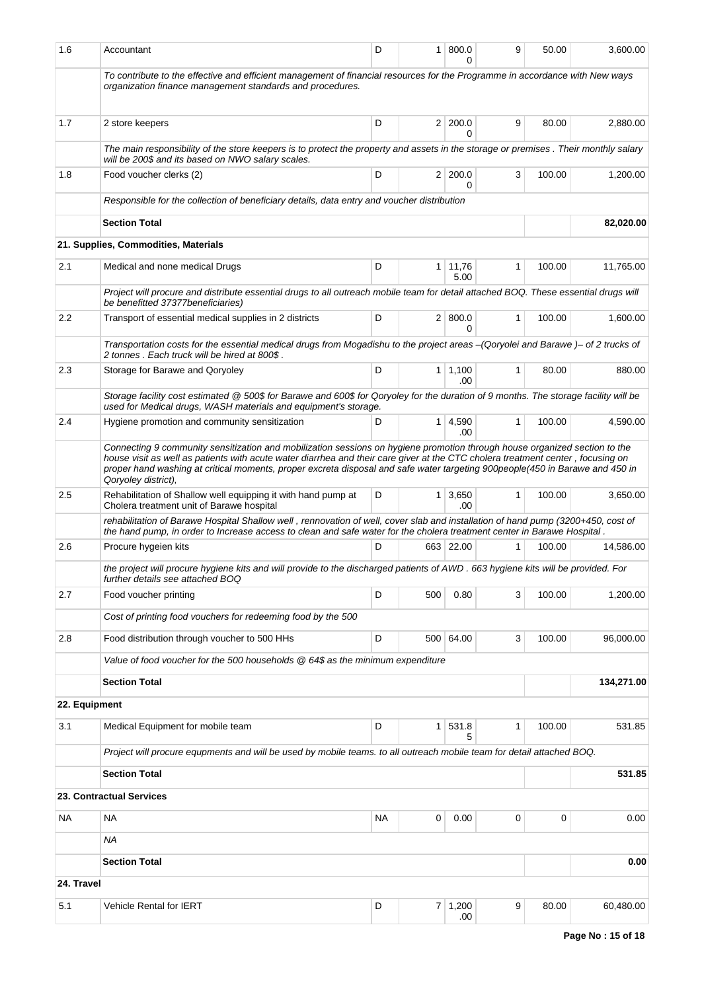| 1.6           | Accountant                                                                                                                                                                                                                                                                                                                                                                                                           | D         |                | 1   800.0<br>U         | 9            | 50.00  | 3,600.00   |
|---------------|----------------------------------------------------------------------------------------------------------------------------------------------------------------------------------------------------------------------------------------------------------------------------------------------------------------------------------------------------------------------------------------------------------------------|-----------|----------------|------------------------|--------------|--------|------------|
|               | To contribute to the effective and efficient management of financial resources for the Programme in accordance with New ways<br>organization finance management standards and procedures.                                                                                                                                                                                                                            |           |                |                        |              |        |            |
| 1.7           | 2 store keepers                                                                                                                                                                                                                                                                                                                                                                                                      | D         |                | 2 200.0<br>0           | 9            | 80.00  | 2,880.00   |
|               | The main responsibility of the store keepers is to protect the property and assets in the storage or premises. Their monthly salary<br>will be 200\$ and its based on NWO salary scales.                                                                                                                                                                                                                             |           |                |                        |              |        |            |
| 1.8           | Food voucher clerks (2)                                                                                                                                                                                                                                                                                                                                                                                              | D         |                | 2 200.0<br>0           | 3            | 100.00 | 1,200.00   |
|               | Responsible for the collection of beneficiary details, data entry and voucher distribution                                                                                                                                                                                                                                                                                                                           |           |                |                        |              |        |            |
|               | <b>Section Total</b>                                                                                                                                                                                                                                                                                                                                                                                                 |           |                |                        |              |        | 82,020.00  |
|               | 21. Supplies, Commodities, Materials                                                                                                                                                                                                                                                                                                                                                                                 |           |                |                        |              |        |            |
| 2.1           | Medical and none medical Drugs                                                                                                                                                                                                                                                                                                                                                                                       | D         |                | $1 \mid 11,76$<br>5.00 | $\mathbf{1}$ | 100.00 | 11,765.00  |
|               | Project will procure and distribute essential drugs to all outreach mobile team for detail attached BOQ. These essential drugs will<br>be benefitted 37377beneficiaries)                                                                                                                                                                                                                                             |           |                |                        |              |        |            |
| 2.2           | Transport of essential medical supplies in 2 districts                                                                                                                                                                                                                                                                                                                                                               | D         |                | 2   800.0<br>0         | 1            | 100.00 | 1,600.00   |
|               | Transportation costs for the essential medical drugs from Mogadishu to the project areas -(Qoryolei and Barawe)- of 2 trucks of<br>2 tonnes. Each truck will be hired at 800\$.                                                                                                                                                                                                                                      |           |                |                        |              |        |            |
| 2.3           | Storage for Barawe and Qoryoley                                                                                                                                                                                                                                                                                                                                                                                      | D         |                | $1 \mid 1,100$<br>.00  | 1            | 80.00  | 880.00     |
|               | Storage facility cost estimated @ 500\$ for Barawe and 600\$ for Qoryoley for the duration of 9 months. The storage facility will be<br>used for Medical drugs, WASH materials and equipment's storage.                                                                                                                                                                                                              |           |                |                        |              |        |            |
| 2.4           | Hygiene promotion and community sensitization                                                                                                                                                                                                                                                                                                                                                                        | D         |                | $1 \mid 4,590$<br>.00  | $\mathbf{1}$ | 100.00 | 4,590.00   |
|               | Connecting 9 community sensitization and mobilization sessions on hygiene promotion through house organized section to the<br>house visit as well as patients with acute water diarrhea and their care giver at the CTC cholera treatment center, focusing on<br>proper hand washing at critical moments, proper excreta disposal and safe water targeting 900people(450 in Barawe and 450 in<br>Qoryoley district), |           |                |                        |              |        |            |
| 2.5           | Rehabilitation of Shallow well equipping it with hand pump at<br>Cholera treatment unit of Barawe hospital                                                                                                                                                                                                                                                                                                           | D         |                | 1 3,650<br>.00.        | 1            | 100.00 | 3,650.00   |
|               | rehabilitation of Barawe Hospital Shallow well, rennovation of well, cover slab and installation of hand pump (3200+450, cost of<br>the hand pump, in order to Increase access to clean and safe water for the cholera treatment center in Barawe Hospital.                                                                                                                                                          |           |                |                        |              |        |            |
| 2.6           | Procure hygeien kits                                                                                                                                                                                                                                                                                                                                                                                                 | D         |                | 663 22.00              | 1            | 100.00 | 14,586.00  |
|               | the project will procure hygiene kits and will provide to the discharged patients of AWD. 663 hygiene kits will be provided. For<br>further details see attached BOQ                                                                                                                                                                                                                                                 |           |                |                        |              |        |            |
| 2.7           | Food voucher printing                                                                                                                                                                                                                                                                                                                                                                                                | D         | 500            | 0.80                   | 3            | 100.00 | 1,200.00   |
|               | Cost of printing food vouchers for redeeming food by the 500                                                                                                                                                                                                                                                                                                                                                         |           |                |                        |              |        |            |
| 2.8           | Food distribution through voucher to 500 HHs                                                                                                                                                                                                                                                                                                                                                                         | D         |                | 500 64.00              | 3            | 100.00 | 96,000.00  |
|               | Value of food voucher for the 500 households @ 64\$ as the minimum expenditure                                                                                                                                                                                                                                                                                                                                       |           |                |                        |              |        |            |
|               | <b>Section Total</b>                                                                                                                                                                                                                                                                                                                                                                                                 |           |                |                        |              |        | 134,271.00 |
| 22. Equipment |                                                                                                                                                                                                                                                                                                                                                                                                                      |           |                |                        |              |        |            |
| 3.1           | Medical Equipment for mobile team                                                                                                                                                                                                                                                                                                                                                                                    | D         | 1 <sup>1</sup> | 531.8<br>5             | 1            | 100.00 | 531.85     |
|               | Project will procure equpments and will be used by mobile teams. to all outreach mobile team for detail attached BOQ.                                                                                                                                                                                                                                                                                                |           |                |                        |              |        |            |
|               | <b>Section Total</b>                                                                                                                                                                                                                                                                                                                                                                                                 |           |                |                        |              |        | 531.85     |
|               | 23. Contractual Services                                                                                                                                                                                                                                                                                                                                                                                             |           |                |                        |              |        |            |
| <b>NA</b>     | <b>NA</b>                                                                                                                                                                                                                                                                                                                                                                                                            | <b>NA</b> | 0              | 0.00                   | 0            | 0      | 0.00       |
|               | ΝA                                                                                                                                                                                                                                                                                                                                                                                                                   |           |                |                        |              |        |            |
|               | <b>Section Total</b>                                                                                                                                                                                                                                                                                                                                                                                                 |           |                |                        |              |        | 0.00       |
| 24. Travel    |                                                                                                                                                                                                                                                                                                                                                                                                                      |           |                |                        |              |        |            |
| 5.1           | <b>Vehicle Rental for IERT</b>                                                                                                                                                                                                                                                                                                                                                                                       | D         |                | $7 \mid 1,200$<br>.00  | 9            | 80.00  | 60,480.00  |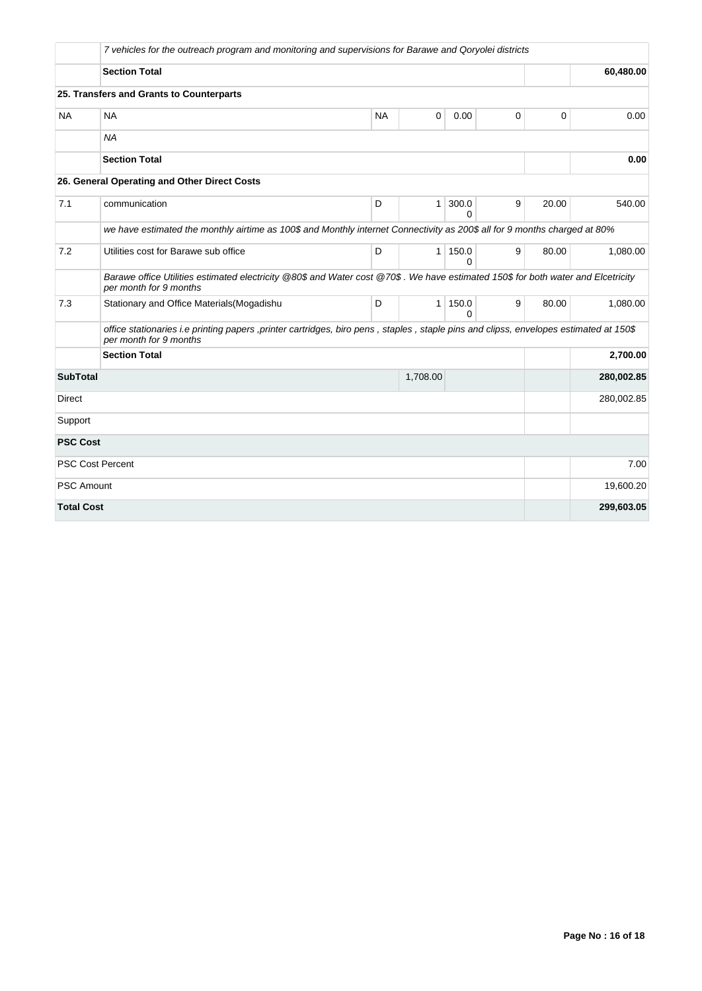|                   | 7 vehicles for the outreach program and monitoring and supervisions for Barawe and Qoryolei districts                                                           |           |              |                   |   |             |            |
|-------------------|-----------------------------------------------------------------------------------------------------------------------------------------------------------------|-----------|--------------|-------------------|---|-------------|------------|
|                   | <b>Section Total</b>                                                                                                                                            |           |              |                   |   |             | 60,480.00  |
|                   | 25. Transfers and Grants to Counterparts                                                                                                                        |           |              |                   |   |             |            |
| <b>NA</b>         | <b>NA</b>                                                                                                                                                       | <b>NA</b> | $\mathbf 0$  | 0.00              | 0 | $\mathbf 0$ | 0.00       |
|                   | <b>NA</b>                                                                                                                                                       |           |              |                   |   |             |            |
|                   | <b>Section Total</b>                                                                                                                                            |           |              |                   |   |             | 0.00       |
|                   | 26. General Operating and Other Direct Costs                                                                                                                    |           |              |                   |   |             |            |
| 7.1               | communication                                                                                                                                                   | D         | $\mathbf{1}$ | 300.0<br>$\Omega$ | 9 | 20.00       | 540.00     |
|                   | we have estimated the monthly airtime as 100\$ and Monthly internet Connectivity as 200\$ all for 9 months charged at 80%                                       |           |              |                   |   |             |            |
| 7.2               | Utilities cost for Barawe sub office                                                                                                                            | D         | $\mathbf{1}$ | 150.0<br>$\Omega$ | 9 | 80.00       | 1,080.00   |
|                   | Barawe office Utilities estimated electricity @80\$ and Water cost @70\$. We have estimated 150\$ for both water and Elcetricity<br>per month for 9 months      |           |              |                   |   |             |            |
| 7.3               | Stationary and Office Materials (Mogadishu                                                                                                                      | D         | $\mathbf{1}$ | 150.0<br>$\Omega$ | 9 | 80.00       | 1.080.00   |
|                   | office stationaries i.e printing papers, printer cartridges, biro pens, staples, staple pins and clipss, envelopes estimated at 150\$<br>per month for 9 months |           |              |                   |   |             |            |
|                   | <b>Section Total</b>                                                                                                                                            |           |              |                   |   |             | 2,700.00   |
| <b>SubTotal</b>   |                                                                                                                                                                 |           | 1,708.00     |                   |   |             | 280,002.85 |
| <b>Direct</b>     |                                                                                                                                                                 |           |              |                   |   |             | 280,002.85 |
| Support           |                                                                                                                                                                 |           |              |                   |   |             |            |
| <b>PSC Cost</b>   |                                                                                                                                                                 |           |              |                   |   |             |            |
|                   | <b>PSC Cost Percent</b>                                                                                                                                         |           |              |                   |   |             | 7.00       |
| <b>PSC Amount</b> |                                                                                                                                                                 |           |              |                   |   |             | 19,600.20  |
| <b>Total Cost</b> |                                                                                                                                                                 |           |              |                   |   |             | 299,603.05 |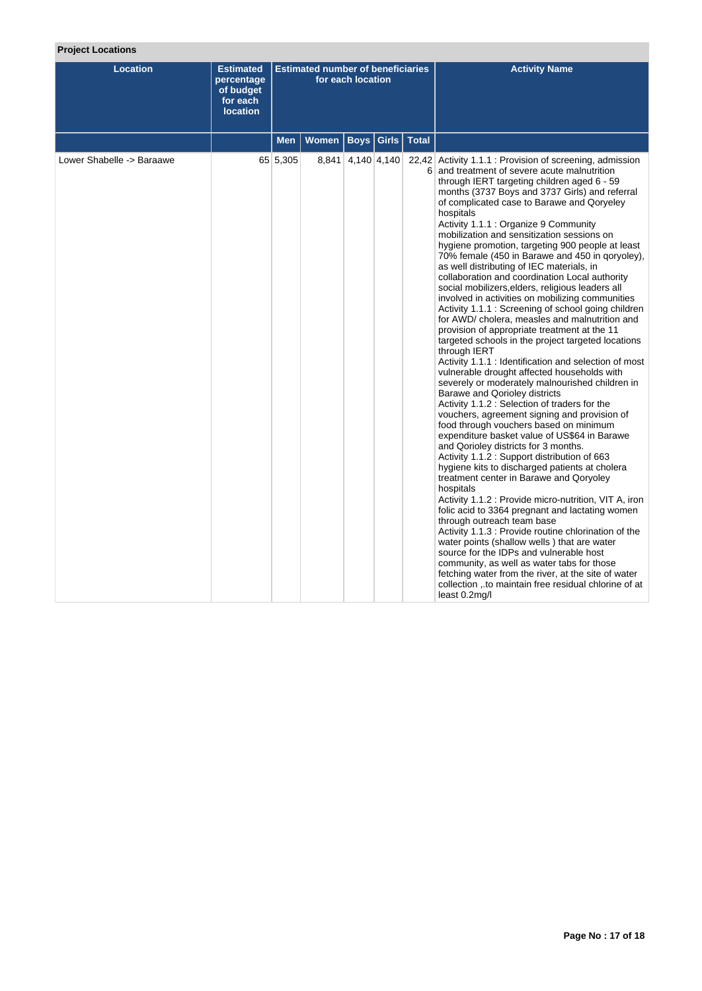# **Project Locations**

| <b>Location</b>           | <b>Estimated</b><br>percentage<br>of budget<br>for each<br><b>location</b> |            | <b>Estimated number of beneficiaries</b> | for each location |                      | <b>Activity Name</b>                                                                                                                                                                                                                                                                                                                                                                                                                                                                                                                                                                                                                                                                                                                                                                                                                                                                                                                                                                                                                                                                                                                                                                                                                                                                                                                                                                                                                                                                                                                                                                                                                                                                                                                                                                                                                                                                                                                                                         |
|---------------------------|----------------------------------------------------------------------------|------------|------------------------------------------|-------------------|----------------------|------------------------------------------------------------------------------------------------------------------------------------------------------------------------------------------------------------------------------------------------------------------------------------------------------------------------------------------------------------------------------------------------------------------------------------------------------------------------------------------------------------------------------------------------------------------------------------------------------------------------------------------------------------------------------------------------------------------------------------------------------------------------------------------------------------------------------------------------------------------------------------------------------------------------------------------------------------------------------------------------------------------------------------------------------------------------------------------------------------------------------------------------------------------------------------------------------------------------------------------------------------------------------------------------------------------------------------------------------------------------------------------------------------------------------------------------------------------------------------------------------------------------------------------------------------------------------------------------------------------------------------------------------------------------------------------------------------------------------------------------------------------------------------------------------------------------------------------------------------------------------------------------------------------------------------------------------------------------------|
|                           |                                                                            | <b>Men</b> | Women                                    |                   | Boys   Girls   Total |                                                                                                                                                                                                                                                                                                                                                                                                                                                                                                                                                                                                                                                                                                                                                                                                                                                                                                                                                                                                                                                                                                                                                                                                                                                                                                                                                                                                                                                                                                                                                                                                                                                                                                                                                                                                                                                                                                                                                                              |
| Lower Shabelle -> Baraawe |                                                                            | 65 5,305   |                                          | 8,841 4,140 4,140 |                      | 22,42 Activity 1.1.1 : Provision of screening, admission<br>6 and treatment of severe acute malnutrition<br>through IERT targeting children aged 6 - 59<br>months (3737 Boys and 3737 Girls) and referral<br>of complicated case to Barawe and Qoryeley<br>hospitals<br>Activity 1.1.1 : Organize 9 Community<br>mobilization and sensitization sessions on<br>hygiene promotion, targeting 900 people at least<br>70% female (450 in Barawe and 450 in goryoley),<br>as well distributing of IEC materials, in<br>collaboration and coordination Local authority<br>social mobilizers, elders, religious leaders all<br>involved in activities on mobilizing communities<br>Activity 1.1.1: Screening of school going children<br>for AWD/ cholera, measles and malnutrition and<br>provision of appropriate treatment at the 11<br>targeted schools in the project targeted locations<br>through IERT<br>Activity 1.1.1 : Identification and selection of most<br>vulnerable drought affected households with<br>severely or moderately malnourished children in<br>Barawe and Qorioley districts<br>Activity 1.1.2 : Selection of traders for the<br>vouchers, agreement signing and provision of<br>food through vouchers based on minimum<br>expenditure basket value of US\$64 in Barawe<br>and Qorioley districts for 3 months.<br>Activity 1.1.2: Support distribution of 663<br>hygiene kits to discharged patients at cholera<br>treatment center in Barawe and Qoryoley<br>hospitals<br>Activity 1.1.2 : Provide micro-nutrition, VIT A, iron<br>folic acid to 3364 pregnant and lactating women<br>through outreach team base<br>Activity 1.1.3 : Provide routine chlorination of the<br>water points (shallow wells) that are water<br>source for the IDPs and vulnerable host<br>community, as well as water tabs for those<br>fetching water from the river, at the site of water<br>collection, to maintain free residual chlorine of at<br>least $0.2$ mg/l |